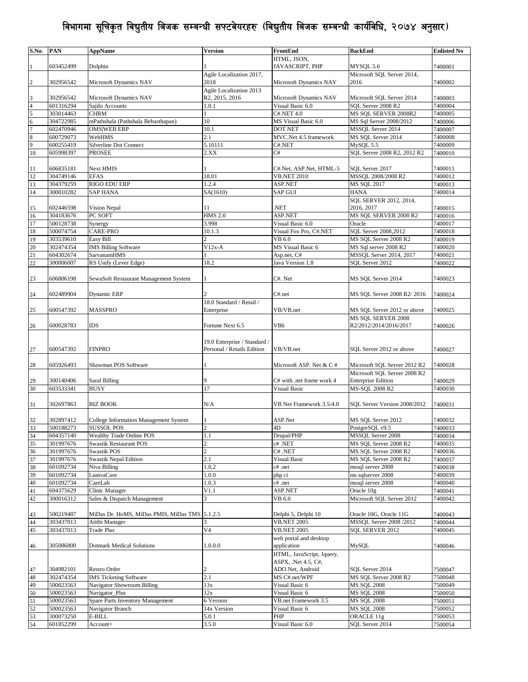| S.No.               | PAN                    | <b>AppName</b>                                            | Version                      | FrontEnd                               | <b>BackEnd</b>                                 | <b>Enlisted No</b> |
|---------------------|------------------------|-----------------------------------------------------------|------------------------------|----------------------------------------|------------------------------------------------|--------------------|
|                     |                        |                                                           |                              | HTML, JSON,                            |                                                |                    |
|                     | 603452499              | Dolphin                                                   |                              | JAVASCRIPT, PHP                        | MYSQL 5.6                                      | 7400001            |
|                     |                        |                                                           | Agile Localization 2017,     |                                        | Microsoft SQL Server 2014,                     |                    |
| $\overline{2}$      | 302956542              | Microsoft Dynamics NAV                                    | 2018                         | Microsoft Dynamics NAV                 | 2016                                           | 7400002            |
|                     |                        |                                                           | Agile Localization 2013      |                                        |                                                |                    |
| 3                   | 302956542              | Microsoft Dynamics NAV                                    | R2, 2015, 2016               | Microsoft Dynamics NAV                 | Microsoft SQL Server 2014                      | 7400003            |
| 4                   | 601316294              | Sajilo Accounts                                           | 1.0.1                        | Visual Basic 6.0                       | SQL Server 2008 R2                             | 7400004            |
| 5                   | 303014463              | <b>CHRM</b>                                               | 1<br>10                      | C#.NET 4.0                             | MS SQL SERVER 2008R2                           | 7400005            |
| 6<br>$\overline{7}$ | 304722985<br>602470946 | mPathshala (Pathshala Bebasthapan)<br><b>OMS WEB ERP</b>  | 10.1                         | MS Visual Basic 6.0<br><b>DOT NET</b>  | MS Sql Server 2008/2012<br>MSSOL Server 2014   | 7400006<br>7400007 |
| 8                   | 600729073              | WebHMS                                                    | 2.1                          | MVC.Net 4.5 framework                  | MS SQL Server 2014                             | 7400008            |
| 9                   | 600255419              | Silverline Dot Connect                                    | 5.10111                      | C#.NET                                 | MySQL 5.5                                      | 7400009            |
| 10                  | 605998397              | <b>PROSEE</b>                                             | 2.XX                         | C#                                     | SQL Server 2008 R2, 2012 R2                    | 7400010            |
|                     |                        |                                                           |                              |                                        |                                                |                    |
| 11                  | 606835181              | Next HMIS                                                 |                              | C#.Net, ASP.Net, HTML-5                | SQL Server 2017                                | 7400011            |
| 12                  | 304749146              | <b>EFAS</b>                                               | 18.01                        | <b>VB.NET 2010</b>                     | MSSQL 2008/2008 R2                             | 7400012            |
| 13                  | 304379259              | RIGO EDU ERP                                              | 1.2.4                        | ASP.NET                                | MS SQL 2017                                    | 7400013            |
| 14                  | 300010282              | <b>SAP HANA</b>                                           | SA(1610)                     | SAP GUI                                | <b>HANA</b>                                    | 7400014            |
|                     |                        |                                                           |                              |                                        | SQL SERVER 2012, 2014,                         |                    |
| 15                  | 602446598              | Vision Nepal                                              | 11                           | NET.                                   | 2016, 2017                                     | 7400015            |
| 16                  | 304183676              | PC SOFT                                                   | <b>HMS 2.0</b>               | ASP.NET                                | MS SOL SERVER 2008 R2                          | 7400016            |
| 17                  | 500128738              | Synergy                                                   | 3.998                        | Visual Basic 6.0                       | Oracle                                         | 7400017            |
| 18                  | 500074754              | CARE-PRO<br>Easy Bill                                     | 10.1.3<br>$\overline{c}$     | Visual Fox Pro, C#.NET                 | SQL Server 2008,2012                           | 7400018            |
| 19<br>20            | 303539610<br>302474354 | <b>IMS Billing Software</b>                               | $V12x-A$                     | VB 6.0<br>MS Visual Basic 6            | MS SQL Server 2008 R2<br>MS Sql server 2008 R2 | 7400019<br>7400020 |
| 21                  | 604302674              | <b>SarvanamHMS</b>                                        |                              | Asp.net, C#                            | MSSQL Server 2014, 2017                        | 7400021            |
| 22                  | 300006007              | RS Unify (Lever Edge)                                     | 18.2                         | Java Version 1.8                       | SQL Server 2012                                | 7400022            |
|                     |                        |                                                           |                              |                                        |                                                |                    |
| 23                  | 606806198              | SewaSoft Restaurant Management System                     |                              | C#. Net                                | MS SQL Server 2014                             | 7400023            |
|                     |                        |                                                           |                              |                                        |                                                |                    |
| 24                  | 602489904              | Dynamic ERP                                               |                              | C#.net                                 | MS SQL Server 2008 R2/2016                     | 7400024            |
|                     |                        |                                                           | 18.0 Standard / Retail /     |                                        |                                                |                    |
| 25                  | 600547392              | MASSPRO                                                   | Enterprise                   | VB/VB.net                              | MS SQL Server 2012 or above                    | 7400025            |
|                     |                        |                                                           |                              |                                        | MS SOL SERVER 2008                             |                    |
| 26                  | 600028783              | <b>IDS</b>                                                | Fortune Next 6.5             | VB6                                    | R2/2012/2014/2016/2017                         | 7400026            |
|                     |                        |                                                           |                              |                                        |                                                |                    |
|                     |                        |                                                           | 19.0 Enterprise / Standard / |                                        |                                                |                    |
| 27                  | 600547392              | <b>FINPRO</b>                                             | Personal / Retails Edition   | VB/VB.net                              | SQL Server 2012 or above                       | 7400027            |
| 28                  | 605926493              | Shawman POS Software                                      |                              | Microsoft ASP. Net & C #               | Microsoft SQL Server 2012 R2                   | 7400028            |
|                     |                        |                                                           |                              |                                        | Microsoft SQL Server 2008 R2                   |                    |
| 29                  | 300140406              | Saral Billing                                             | 9                            | C# with .net frame work 4              | <b>Enterprise Edition</b>                      | 7400029            |
| 30                  | 603533341              | <b>BUSY</b>                                               | 17                           | <b>Visual Basic</b>                    | MS-SQL 2008 R2                                 | 7400030            |
|                     |                        |                                                           |                              |                                        |                                                |                    |
| 31                  | 302697863              | <b>BIZ BOOK</b>                                           | N/A                          | VB Net Framework 3.5/4.0               | SQL Server Version 2008/2012                   | 7400031            |
|                     |                        |                                                           |                              |                                        |                                                |                    |
| 32                  | 302897412              | College Information Management System                     | 1                            | ASP.Net                                | MS SQL Server 2012                             | 7400032            |
| 33                  | 500188273              | <b>SUSSOL POS</b>                                         | $\overline{c}$               | 4D                                     | PostgreSQL v9.5                                | 7400033            |
| 34                  | 604357140              | Wealthy Trade Online POS                                  | 1.1                          | Drupal/PHP                             | <b>MSSOL Server 2008</b>                       | 7400034            |
| 35                  | 301997676              | <b>Swastik Restaurant POS</b>                             | $\overline{c}$               | c#.NET                                 | MS SQL Server 2008 R2                          | 7400035            |
| 36                  | 301997676              | <b>Swastik POS</b>                                        | $\overline{c}$               | C# .NET                                | MS SQL Server 2008 R2                          | 7400036            |
| 37                  | 301997676              | <b>Swastik Nepal Edition</b>                              | 2.1                          | Visual Basic                           | MS SOL Server 2008 R2                          | 7400037            |
| 38                  | 601092734              | Niva Billing                                              | 1.0.2                        | c# .net                                | mssql server 2008<br>ms sqlserver 2008         | 7400038            |
| 39<br>40            | 601092734<br>601092734 | LunivaCare<br>CareLab                                     | 1.0.0<br>1.0.3               | php ci<br>c# .net                      | mssql server 2008                              | 7400039<br>7400040 |
| 41                  | 604375629              | Clinic Manager                                            | V1.1                         | ASP.NET                                | Oracle 10g                                     | 7400041            |
| 42                  | 300016312              | Sales & Dispatch Management                               | 3                            | VB 6.0                                 | Microsoft SQL Server 2012                      | 7400042            |
|                     |                        |                                                           |                              |                                        |                                                |                    |
| 43                  | 500219487              | MiDas Dr. HoMS, MiDas PMIS, MiDas TMS 5.1.2.5             |                              | Delphi 5, Delphi 10                    | Oracle 10G, Oracle 11G                         | 7400043            |
| 44                  | 303437013              | Atithi Manager                                            | 3                            | <b>VB.NET 2005</b>                     | MSSQL Server 2008 /2012                        | 7400044            |
| 45                  | 303437013              | <b>Trade Plus</b>                                         | V4                           | <b>VB.NET 2005</b>                     | <b>SQL SERVER 2012</b>                         | 7400045            |
|                     |                        |                                                           |                              | web portal and desktop                 |                                                |                    |
| 46                  | 305086800              | <b>Dotmark Medical Solutions</b>                          | 1.0.0.0                      | application                            | MySQL                                          | 7400046            |
|                     |                        |                                                           |                              | HTML, JavaScript, Jquery,              |                                                |                    |
|                     |                        |                                                           |                              | ASPX, .Net 4.5, C#,                    |                                                |                    |
| 47                  | 304982101              | Restro Order                                              | 2                            | ADO.Net, Android                       | SQL Server 2014                                | 7500047            |
| 48                  | 302474354              | <b>IMS Ticketing Software</b>                             | 2.1                          | MS C#.net/WPF                          | MS SQL Server 2008 R2                          | 7500048            |
| 49                  | 500023563              | Navigator Showroom Billing                                | 13x                          | Visual Basic 6                         | <b>MS SQL 2008</b>                             | 7500049            |
| 50<br>51            | 500023563<br>500023563 | Navigator_Plus<br><b>Spare Parts Inventory Management</b> | 12x<br>6 Version             | Visual Basic 6<br>VB.net Framework 3.5 | <b>MS SQL 2008</b><br><b>MS SQL 2008</b>       | 7500050<br>7500051 |
| 52                  | 500023563              | Navigator Branch                                          | 14x Version                  | Visual Basic 6                         | <b>MS SQL 2008</b>                             | 7500052            |
| 53                  | 300073250              | E-BILL                                                    | 5.0.1                        | PHP                                    | ORACLE 11g                                     | 7500053            |
| 54                  | 601852299              | Account+                                                  | 3.5.0                        | Visual Basic 6.0                       | SQL Server 2014                                | 7500054            |
|                     |                        |                                                           |                              |                                        |                                                |                    |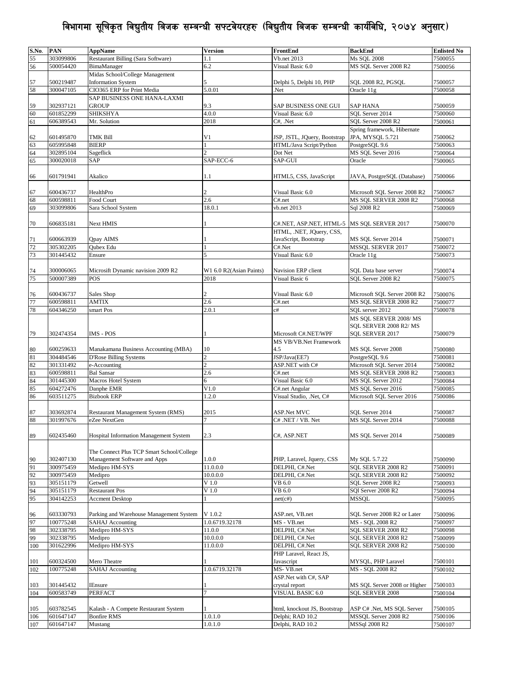| S.No.    | PAN                    | <b>AppName</b>                                | <b>Version</b>          | FrontEnd                                  | <b>BackEnd</b>                              | <b>Enlisted No</b> |
|----------|------------------------|-----------------------------------------------|-------------------------|-------------------------------------------|---------------------------------------------|--------------------|
| 55       | 303099806              | Restaurant Billing (Sara Software)            | 1.1                     | Vb.net 2013                               | <b>Ms SQL 2008</b>                          | 7500055            |
| 56       | 500054420              | BimaManager                                   | 6.2                     | Visual Basic 6.0                          | MS SQL Server 2008 R2                       | 7500056            |
|          |                        | Midas School/College Management               |                         |                                           |                                             |                    |
| 57       | 500219487              | <b>Information System</b>                     | 5                       | Delphi 5, Delphi 10, PHP                  | SQL 2008 R2, PGSQL                          | 7500057            |
| 58       | 300047105              | CIO365 ERP for Print Media                    | 5.0.01                  | Net.                                      | Oracle 11g                                  | 7500058            |
|          |                        | SAP BUSINESS ONE HANA-LAXMI                   |                         |                                           |                                             |                    |
| 59       | 302937121              | <b>GROUP</b>                                  | 9.3                     | SAP BUSINESS ONE GUI                      | <b>SAP HANA</b>                             | 7500059            |
| 60       | 601852299              | <b>SHIKSHYA</b>                               | 4.0.0                   | Visual Basic 6.0                          | SQL Server 2014                             | 7500060            |
| 61       | 606389543              | Mr. Solution                                  | 2018                    | C#, .Net                                  | SQL Server 2008 R2                          | 7500061            |
|          |                        |                                               |                         |                                           | Spring framework, Hibernate                 |                    |
| 62       | 601495870              | <b>TMK Bill</b>                               | V1                      | JSP, JSTL, JQuery, Bootstrap              | JPA, MYSQL 5.721                            | 7500062            |
| 63       | 605995848              | <b>BIERP</b>                                  |                         | HTML/Java Script/Python                   | PostgreSQL 9.6                              | 7500063            |
| 64       | 302895104              | Sageflick                                     |                         | Dot Net                                   | MS SOL Sever 2016                           | 7500064            |
| 65       | 300020018              | <b>SAP</b>                                    | SAP-ECC-6               | SAP-GUI                                   | Oracle                                      | 7500065            |
|          |                        |                                               |                         |                                           |                                             |                    |
| 66       | 601791941              | Akalico                                       | 1.1                     | HTML5, CSS, JavaScript                    | JAVA, PostgreSQL (Database)                 | 7500066            |
|          |                        |                                               |                         |                                           |                                             |                    |
| 67       | 600436737              | HealthPro                                     | $\overline{c}$          | Visual Basic 6.0                          | Microsoft SQL Server 2008 R2                | 7500067            |
| 68       | 600598811              | Food Court                                    | 2.6                     | C#.net                                    | MS SQL SERVER 2008 R2                       | 7500068            |
| 69       | 303099806              | Sara School System                            | 18.0.1                  | vb.net 2013                               | Sql 2008 R2                                 | 7500069            |
|          |                        |                                               |                         |                                           |                                             |                    |
| $70\,$   | 606835181              | Next HMIS                                     |                         | C#.NET, ASP.NET, HTML-5                   | MS SQL SERVER 2017                          | 7500070            |
|          |                        |                                               |                         | HTML, .NET, JQuery, CSS,                  |                                             |                    |
| 71       | 600663939              | Qpay AIMS                                     |                         | JavaScript, Bootstrap                     | MS SQL Server 2014                          | 7500071            |
| 72       | 305302205              | Qubex Edu                                     |                         | C#.Net                                    | <b>MSSOL SERVER 2017</b>                    | 7500072            |
| 73       | 301445432              | Ensure                                        | 5                       | Visual Basic 6.0                          | Oracle 11g                                  | 7500073            |
|          |                        |                                               |                         |                                           |                                             |                    |
| 74       | 300006065              | Microsift Dynamic navision 2009 R2            | W1 6.0 R2(Asian Paints) | Navision ERP client                       | SQL Data base server                        | 7500074            |
| 75       | 500007389              | POS                                           | 2018                    | Visual Basic 6                            | SOL Server 2008 R2                          | 7500075            |
|          |                        |                                               |                         |                                           |                                             |                    |
| 76       | 600436737              | Sales Shop                                    | 2                       | Visual Basic 6.0                          | Microsoft SQL Server 2008 R2                | 7500076            |
| 77       | 600598811              | <b>AMTIX</b>                                  | 2.6                     | C#.net                                    | MS SQL SERVER 2008 R2                       | 7500077            |
| 78       | 604346250              | smart Pos                                     | 2.0.1                   | c#                                        | SQL server 2012                             | 7500078            |
|          |                        |                                               |                         |                                           | MS SQL SERVER 2008/MS                       |                    |
|          |                        |                                               |                         |                                           | SQL SERVER 2008 R2/MS                       |                    |
| 79       | 302474354              | IMS - POS                                     |                         | Microsoft C#.NET/WPF                      | SQL SERVER 2017                             | 7500079            |
|          |                        |                                               |                         | MS VB/VB.Net Framework                    |                                             |                    |
| 80       | 600259633              | Manakamana Business Accounting (MBA)          | 10                      | 4.5                                       | MS SQL Server 2008                          | 7500080            |
| 81       | 304484546              | <b>D'Rose Billing Systems</b>                 | $\overline{c}$          | JSP/Java(EE7)                             | PostgreSQL 9.6                              | 7500081            |
| 82       | 301331492              | e-Accounting                                  | $\overline{c}$          | ASP.NET with C#                           | Microsoft SQL Server 2014                   | 7500082            |
| 83       | 600598811              | <b>Bal Sansar</b>                             | 2.6                     | C#.net<br>Visual Basic 6.0                | MS SOL SERVER 2008 R2<br>MS SOL Server 2012 | 7500083            |
| 84<br>85 | 301445300<br>604272476 | Macros Hotel System<br>Danphe EMR             | 6<br>V1.0               |                                           | MS SOL Server 2016                          | 7500084<br>7500085 |
| 86       | 603511275              | <b>Bizbook ERP</b>                            | 1.2.0                   | C#.net Angular<br>Visual Studio, .Net, C# | Microsoft SQL Server 2016                   |                    |
|          |                        |                                               |                         |                                           |                                             | 7500086            |
| 87       |                        | Restaurant Management System (RMS)            |                         |                                           | SOL Server 2014                             | 7500087            |
| 88       | 303692874<br>301997676 | eZee NextGen                                  | 2015                    | ASP.Net MVC<br>C# .NET / VB. Net          | MS SQL Server 2014                          | 7500088            |
|          |                        |                                               |                         |                                           |                                             |                    |
| 89       | 602435460              | <b>Hospital Information Management System</b> | 2.3                     | C#, ASP.NET                               | MS SQL Server 2014                          | 7500089            |
|          |                        |                                               |                         |                                           |                                             |                    |
|          |                        | The Connect Plus TCP Smart School/College     |                         |                                           |                                             |                    |
| 90       | 302407130              | Management Software and Apps                  | 1.0.0                   | PHP, Laravel, Jquery, CSS                 | My SQL 5.7.22                               | 7500090            |
| 91       | 300975459              | Medipro HM-SYS                                | 11.0.0.0                | DELPHI, C#.Net                            | SQL SERVER 2008 R2                          | 7500091            |
| 92       | 300975459              | Medipro                                       | 10.0.0.0                | DELPHI, C#.Net                            | SQL SERVER 2008 R2                          | 7500092            |
| 93       | 305151179              | Getwell                                       | V <sub>1.0</sub>        | VB 6.0                                    | SQL Server 2008 R2                          | 7500093            |
| 94       | 305151179              | <b>Restaurant Pos</b>                         | V <sub>1.0</sub>        | VB 6.0                                    | SQI Server 2008 R2                          | 7500094            |
| 95       | 304142253              | <b>Accment Desktop</b>                        |                         | .net(c#)                                  | MSSQL                                       | 7500095            |
|          |                        |                                               |                         |                                           |                                             |                    |
| 96       | 603330793              | Parking and Warehouse Management System       | V 1.0.2                 | ASP.net, VB.net                           | SQL Server 2008 R2 or Later                 | 7500096            |
| 97       | 100775248              | <b>SAHAJ</b> Accounting                       | 1.0.6719.32178          | MS - VB.net                               | MS - SQL 2008 R2                            | 7500097            |
| 98       | 302338795              | Medipro HM-SYS                                | 11.0.0                  | DELPHI, C#.Net                            | SQL SERVER 2008 R2                          | 7500098            |
| 99       | 302338795              | Medipro                                       | 10.0.0.0                | DELPHI, C#.Net                            | SQL SERVER 2008 R2                          | 7500099            |
| 100      | 301622996              | Medipro HM-SYS                                | 11.0.0.0                | DELPHI, C#.Net                            | SQL SERVER 2008 R2                          | 7500100            |
|          |                        |                                               |                         | PHP Laravel, React JS,                    |                                             |                    |
| 101      | 600324500              | Mero Theatre                                  |                         | Javascript                                | MYSQL, PHP Laravel                          | 7500101            |
| 102      | 100775248              | <b>SAHAJ</b> Accounting                       | 1.0.6719.32178          | MS-VB.net                                 | MS - SQL 2008 R2                            | 7500102            |
|          |                        |                                               |                         | ASP.Net with C#, SAP                      |                                             |                    |
| 103      | 301445432              | <b>IEnsure</b>                                |                         | crystal report                            | MS SQL Server 2008 or Higher                | 7500103            |
| 104      | 600583749              | PERFACT                                       |                         | VISUAL BASIC 6.0                          | <b>SQL SERVER 2008</b>                      | 7500104            |
|          |                        |                                               |                         |                                           |                                             |                    |
| 105      | 603782545              | Kalash - A Compete Restaurant System          |                         | html, knockout JS, Bootstrap              | ASP C# .Net, MS SQL Server                  | 7500105            |
| 106      | 601647147              | <b>Bonfire RMS</b>                            | 1.0.1.0                 | Delphi; RAD 10.2                          | MSSQL Server 2008 R2                        | 7500106            |
| 107      | 601647147              | Mustang                                       | 1.0.1.0                 | Delphi, RAD 10.2                          | MSSql 2008 R2                               | 7500107            |
|          |                        |                                               |                         |                                           |                                             |                    |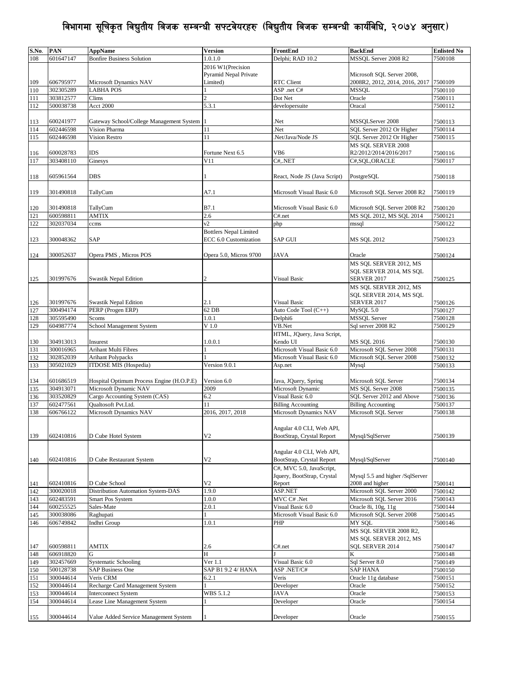| S.No. | <b>PAN</b> | <b>AppName</b>                                                     | <b>Version</b>                | FrontEnd                     | <b>BackEnd</b>                          | <b>Enlisted No</b> |
|-------|------------|--------------------------------------------------------------------|-------------------------------|------------------------------|-----------------------------------------|--------------------|
| 108   | 601647147  | <b>Bonfire Business Solution</b>                                   | 1.0.1.0                       | Delphi; RAD 10.2             | MSSQL Server 2008 R2                    | 7500108            |
|       |            |                                                                    | 2016 W1(Precision             |                              |                                         |                    |
|       |            |                                                                    | <b>Pyramid Nepal Private</b>  |                              | Microsoft SQL Server 2008,              |                    |
| 109   | 606795977  | Microsoft Dynamics NAV                                             | Limited)                      | RTC Client                   | 2008R2, 2012, 2014, 2016, 2017          | 7500109            |
| 110   | 302305289  | <b>LABHA POS</b>                                                   |                               | ASP .net C#                  | <b>MSSQL</b>                            | 7500110            |
| 111   | 303812577  | Clims                                                              | $\overline{c}$                | Dot Net                      | Oracle                                  | 7500111            |
| 112   | 500038738  | <b>Acct 2000</b>                                                   | 5.3.1                         | developersuite               | Oracal                                  | 7500112            |
|       |            |                                                                    |                               |                              |                                         |                    |
| 113   | 600241977  | Gateway School/College Management System                           |                               | Net.                         | MSSQLServer 2008                        | 7500113            |
| 114   | 602446598  | Vision Pharma                                                      | 11                            | Net.                         | SQL Server 2012 Or Higher               | 7500114            |
| 115   | 602446598  | Vision Restro                                                      | 11                            | Net/Java/Node JS             | SQL Server 2012 Or Higher               | 7500115            |
|       |            |                                                                    |                               |                              | MS SQL SERVER 2008                      |                    |
|       | 600028783  | IDS                                                                | Fortune Next 6.5              | VB <sub>6</sub>              |                                         |                    |
| 116   | 303408110  |                                                                    | V11                           | C#, NET                      | R2/2012/2014/2016/2017<br>C#,SQL,ORACLE | 7500116            |
| 117   |            | Ginesys                                                            |                               |                              |                                         | 7500117            |
|       |            |                                                                    |                               |                              |                                         |                    |
| 118   | 605961564  | DBS                                                                |                               | React, Node JS (Java Script) | PostgreSQL                              | 7500118            |
|       |            |                                                                    |                               |                              |                                         |                    |
| 119   | 301490818  | TallyCum                                                           | A7.1                          | Microsoft Visual Basic 6.0   | Microsoft SQL Server 2008 R2            | 7500119            |
|       |            |                                                                    |                               |                              |                                         |                    |
| 120   | 301490818  | TallyCum                                                           | B7.1                          | Microsoft Visual Basic 6.0   | Microsoft SQL Server 2008 R2            | 7500120            |
| 121   | 600598811  | <b>AMTIX</b>                                                       | 2.6                           | C#.net                       | MS SQL 2012, MS SQL 2014                | 7500121            |
| 122   | 302037034  | ccms                                                               | v2                            | php                          | mssql                                   | 7500122            |
|       |            |                                                                    | <b>Bottlers Nepal Limited</b> |                              |                                         |                    |
| 123   | 300048362  | SAP                                                                | ECC 6.0 Customization         | <b>SAP GUI</b>               | <b>MS SQL 2012</b>                      | 7500123            |
|       |            |                                                                    |                               |                              |                                         |                    |
| 124   | 300052637  | Opera PMS, Micros POS                                              | Opera 5.0, Micros 9700        | <b>JAVA</b>                  | Oracle                                  | 7500124            |
|       |            |                                                                    |                               |                              | MS SQL SERVER 2012, MS                  |                    |
|       |            |                                                                    |                               |                              | SQL SERVER 2014, MS SQL                 |                    |
| 125   | 301997676  | Swastik Nepal Edition                                              | 2                             | <b>Visual Basic</b>          | <b>SERVER 2017</b>                      | 7500125            |
|       |            |                                                                    |                               |                              | MS SQL SERVER 2012, MS                  |                    |
|       |            |                                                                    |                               |                              | SQL SERVER 2014, MS SQL                 |                    |
| 126   | 301997676  | Swastik Nepal Edition                                              | 2.1                           | Visual Basic                 | <b>SERVER 2017</b>                      | 7500126            |
| 127   | 300494174  | PERP (Progen ERP)                                                  | 62 DB                         | Auto Code Tool (C++)         | MySQL 5.0                               | 7500127            |
| 128   | 305595490  | Scoms                                                              | 1.0.1                         | Delphi6                      | <b>MSSQL Server</b>                     | 7500128            |
| 129   | 604987774  | School Management System                                           | V <sub>1.0</sub>              | VB.Net                       | Sql server 2008 R2                      | 7500129            |
|       |            |                                                                    |                               | HTML, JQuery, Java Script,   |                                         |                    |
| 130   | 304913013  | Insurest                                                           | 1.0.0.1                       | Kendo UI                     | <b>MS SQL 2016</b>                      | 7500130            |
| 131   | 300016965  | Arihant Multi Fibres                                               |                               | Microsoft Visual Basic 6.0   | Microsoft SQL Server 2008               | 7500131            |
|       | 302852039  | <b>Arihant Polypacks</b>                                           |                               | Microsoft Visual Basic 6.0   | Microsoft SQL Server 2008               |                    |
| 132   | 305021029  | ITDOSE MIS (Hospedia)                                              | Version 9.0.1                 |                              |                                         | 7500132            |
| 133   |            |                                                                    |                               | Asp.net                      | Mysql                                   | 7500133            |
|       |            |                                                                    |                               |                              |                                         |                    |
| 134   | 601686519  | Hospital Optimum Process Engine (H.O.P.E)<br>Microsoft Dynamic NAV | Version 6.0                   | Java, JQuery, Spring         | Microsoft SQL Server                    | 7500134            |
| 135   | 304913071  |                                                                    | 2009                          | Microsoft Dynamic            | MS SOL Server 2008                      | 7500135            |
| 136   | 303520829  | Cargo Accounting System (CAS)                                      | 6.2                           | Visual Basic 6.0             | SQL Server 2012 and Above               | 7500136            |
| 137   | 602477561  | Qualtosoft Pvt.Ltd.                                                | 11                            | <b>Billing Accounting</b>    | <b>Billing Accounting</b>               | 7500137            |
| 138   | 606766122  | Microsoft Dynamics NAV                                             | 2016, 2017, 2018              | Microsoft Dynamics NAV       | Microsoft SQL Server                    | 7500138            |
|       |            |                                                                    |                               |                              |                                         |                    |
|       |            |                                                                    |                               | Angular 4.0 CLI, Web API,    |                                         |                    |
| 139   | 602410816  | D Cube Hotel System                                                | V2                            | BootStrap, Crystal Report    | Mysql/SqlServer                         | 7500139            |
|       |            |                                                                    |                               |                              |                                         |                    |
|       |            |                                                                    |                               | Angular 4.0 CLI, Web API,    |                                         |                    |
| 140   | 602410816  | D Cube Restaurant System                                           | V <sub>2</sub>                | BootStrap, Crystal Report    | Mysql/SqlServer                         | 7500140            |
|       |            |                                                                    |                               | C#, MVC 5.0, JavaScript,     |                                         |                    |
|       |            |                                                                    |                               | Jquery, BootStrap, Crystal   | Mysql 5.5 and higher /SqlServer         |                    |
| 141   | 602410816  | D Cube School                                                      | V <sub>2</sub>                | Report                       | 2008 and higher                         | 7500141            |
| 142   | 300020018  | Distribution Automation System-DAS                                 | 1.9.0                         | ASP.NET                      | Microsoft SQL Server 2000               | 7500142            |
| 143   | 602483591  | Smart Pos System                                                   | 1.0.0                         | MVC C# .Net                  | Microsoft SQL Server 2016               | 7500143            |
| 144   | 600255525  | Sales-Mate                                                         | 2.0.1                         | Visual Basic 6.0             | Oracle 8i, 10g, 11g                     | 7500144            |
| 145   | 300038086  | Raghupati                                                          |                               | Microsoft Visual Basic 6.0   | Microsoft SQL Server 2008               | 7500145            |
| 146   | 606749842  | Indhri Group                                                       | 1.0.1                         | PHP                          | MY SQL                                  | 7500146            |
|       |            |                                                                    |                               |                              | MS SQL SERVER 2008 R2,                  |                    |
|       |            |                                                                    |                               |                              | MS SOL SERVER 2012, MS                  |                    |
| 147   | 600598811  | AMTIX                                                              | 2.6                           | C#.net                       | SQL SERVER 2014                         | 7500147            |
| 148   | 606918820  | G                                                                  | H                             |                              | K                                       | 7500148            |
|       |            |                                                                    |                               |                              |                                         |                    |
| 149   | 302457669  | <b>Systematic Schooling</b>                                        | Ver 1.1                       | Visual Basic 6.0             | Sql Server 8.0                          | 7500149            |
| 150   | 500128738  | <b>SAP Business One</b>                                            | SAP B1 9.2 4/ HANA            | ASP.NET/C#                   | <b>SAP HANA</b>                         | 7500150            |
| 151   | 300044614  | Veris CRM                                                          | 6.2.1                         | Veris                        | Oracle 11g database                     | 7500151            |
| 152   | 300044614  | Recharge Card Management System                                    |                               | Developer                    | Oracle                                  | 7500152            |
| 153   | 300044614  | <b>Interconnect System</b>                                         | WBS 5.1.2                     | JAVA                         | Oracle                                  | 7500153            |
| 154   | 300044614  | Lease Line Management System                                       |                               | Developer                    | Oracle                                  | 7500154            |
|       |            |                                                                    |                               |                              |                                         |                    |
| 155   | 300044614  | Value Added Service Management System                              |                               | Developer                    | Oracle                                  | 7500155            |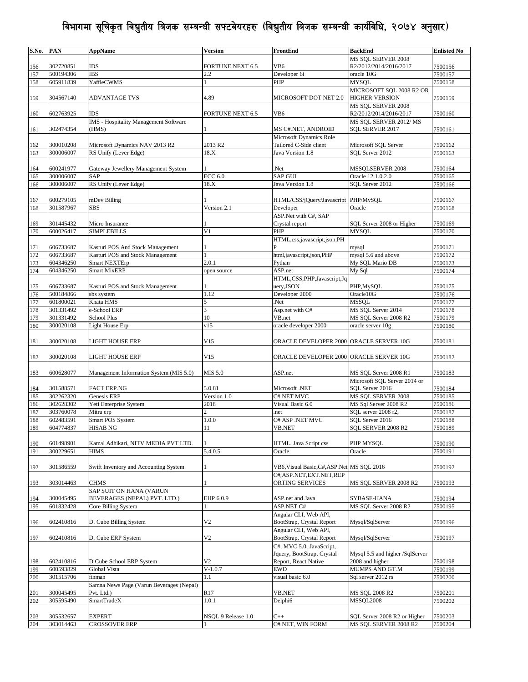| S.No.      | <b>PAN</b>             | <b>AppName</b>                                 | Version                 | FrontEnd                                                                 | <b>BackEnd</b>                  | <b>Enlisted No</b> |
|------------|------------------------|------------------------------------------------|-------------------------|--------------------------------------------------------------------------|---------------------------------|--------------------|
|            |                        |                                                |                         |                                                                          | MS SOL SERVER 2008              |                    |
| 156        | 302720851              | IDS                                            | <b>FORTUNE NEXT 6.5</b> | VB6                                                                      | R2/2012/2014/2016/2017          | 7500156            |
| 157        | 500194306              | <b>IBS</b>                                     | 2.2                     | Developer 6i                                                             | oracle 10G                      | 7500157            |
| 158        | 605911839              | YaffleCWMS                                     |                         | PHP                                                                      | <b>MYSQL</b>                    | 7500158            |
|            |                        |                                                |                         |                                                                          | MICROSOFT SQL 2008 R2 OR        |                    |
| 159        | 304567140              | ADVANTAGE TVS                                  | 4.89                    | MICROSOFT DOT NET 2.0                                                    | <b>HIGHER VERSION</b>           | 7500159            |
|            |                        |                                                |                         |                                                                          | MS SOL SERVER 2008              |                    |
| 160        | 602763925              | IDS                                            | FORTUNE NEXT 6.5        | VB <sub>6</sub>                                                          | R2/2012/2014/2016/2017          | 7500160            |
|            |                        | IMS - Hospitality Management Software<br>(HMS) |                         |                                                                          | MS SQL SERVER 2012/MS           |                    |
| 161        | 302474354              |                                                |                         | MS C#.NET, ANDROID<br>Microsoft Dynamics Role                            | SQL SERVER 2017                 | 7500161            |
| 162        | 300010208              | Microsoft Dynamics NAV 2013 R2                 | 2013 R <sub>2</sub>     | Tailored C-Side client                                                   | Microsoft SQL Server            | 7500162            |
| 163        | 300006007              | RS Unify (Lever Edge)                          | 18.X                    | Java Version 1.8                                                         | SOL Server 2012                 | 7500163            |
|            |                        |                                                |                         |                                                                          |                                 |                    |
| 164        | 600241977              | Gateway Jewellery Management System            |                         | Net.                                                                     | MSSQLSERVER 2008                | 7500164            |
| 165        | 300006007              | SAP                                            | <b>ECC 6.0</b>          | <b>SAP GUI</b>                                                           | Oracle 12.1.0.2.0               | 7500165            |
| 166        | 300006007              | RS Unify (Lever Edge)                          | 18.X                    | Java Version 1.8                                                         | SOL Server 2012                 | 7500166            |
|            |                        |                                                |                         |                                                                          |                                 |                    |
| 167        | 600279105              | mDev Billing                                   |                         | HTML/CSS/jQuery/Javascript PHP/MySQL                                     |                                 | 7500167            |
| 168        | 301587967              | SBS                                            | Version 2.1             | Developer                                                                | Oracle                          | 7500168            |
|            |                        |                                                |                         | ASP.Net with C#, SAP                                                     |                                 |                    |
| 169        | 301445432              | Micro Insurance                                |                         | Crystal report                                                           | SQL Server 2008 or Higher       | 7500169            |
| 170        | 600026417              | <b>SIMPLEBILLS</b>                             | V <sub>1</sub>          | PHP                                                                      | <b>MYSQL</b>                    | 7500170            |
|            |                        |                                                |                         | HTML,css,javascript,json,PH                                              |                                 |                    |
| 171        | 606733687              | Kasturi POS And Stock Management               |                         |                                                                          | mysql                           | 7500171            |
| 172        | 606733687              | Kasturi POS and Stock Management               |                         | html,javascript,json,PHP                                                 | mysql 5.6 and above             | 7500172            |
| 173        | 604346250              | <b>Smart NEXTErp</b>                           | 2.0.1                   | Pythan                                                                   | My SQL Mario DB                 | 7500173            |
| 174        | 604346250              | <b>Smart MixERP</b>                            | open source             | ASP.net                                                                  | My Sql                          | 7500174            |
|            |                        |                                                |                         | HTML,CSS,PHP,Javascript,Jq                                               |                                 |                    |
| 175        | 606733687              | Kasturi POS and Stock Management               |                         | uery, JSON                                                               | PHP, MySQL                      | 7500175            |
| 176        | 500184866<br>601800021 | sbs system<br>Khata HMS                        | 1.12<br>5               | Developer 2000<br>Net.                                                   | Oracle10G<br><b>MSSOL</b>       | 7500176<br>7500177 |
| 177<br>178 | 301331492              | e-School ERP                                   | 3                       | Asp.net with C#                                                          | MS SQL Server 2014              | 7500178            |
| 179        | 301331492              | <b>School Plus</b>                             | 10                      | VB.net                                                                   | MS SQL Server 2008 R2           | 7500179            |
| 180        | 300020108              | Light House Erp                                | v15                     | oracle developer 2000                                                    | oracle server 10g               | 7500180            |
|            |                        |                                                |                         |                                                                          |                                 |                    |
| 181        | 300020108              | LIGHT HOUSE ERP                                | V15                     | ORACLE DEVELOPER 2000 ORACLE SERVER 10G                                  |                                 | 7500181            |
|            |                        |                                                |                         |                                                                          |                                 |                    |
| 182        | 300020108              | LIGHT HOUSE ERP                                | V15                     | ORACLE DEVELOPER 2000 ORACLE SERVER 10G                                  |                                 | 7500182            |
|            |                        |                                                |                         |                                                                          |                                 |                    |
| 183        | 600628077              | Management Information System (MIS 5.0)        | MIS 5.0                 | ASP.net                                                                  | MS SQL Server 2008 R1           | 7500183            |
|            |                        |                                                |                         |                                                                          | Microsoft SQL Server 2014 or    |                    |
| 184        | 301588571              | <b>FACT ERP.NG</b>                             | 5.0.81                  | Microsoft .NET                                                           | SQL Server 2016                 | 7500184            |
| 185        | 302262320              | Genesis ERP                                    | Version 1.0             | C#.NET MVC                                                               | MS SOL SERVER 2008              | 7500185            |
| 186        | 302628302              | Yeti Enterprise System                         | 2018                    | Visual Basic 6.0                                                         | MS Sql Server 2008 R2           | 7500186            |
| 187        | 303760078              | Mitra erp                                      | 2                       | .net                                                                     | SQL server 2008 r2,             | 7500187            |
| 188        | 602483591              | Smart POS System                               | 1.0.0                   | C# ASP .NET MVC                                                          | SQL Server 2016                 | 7500188            |
| 189        | 604774837              | <b>HISAB NG</b>                                | 11                      | VB.NET                                                                   | SQL SERVER 2008 R2              | 7500189            |
|            |                        |                                                |                         |                                                                          |                                 |                    |
| 190        | 601498901              | Kamal Adhikari, NITV MEDIA PVT LTD.            |                         | HTML. Java Script css                                                    | PHP MYSQL                       | 7500190            |
| 191        | 300229651              | <b>HIMS</b>                                    | 5.4.0.5                 | Oracle                                                                   | Oracle                          | 7500191            |
|            |                        |                                                |                         |                                                                          |                                 |                    |
| 192        | 301586559              | Swift Inventory and Accounting System          |                         | VB6, Visual Basic, C#, ASP. Net MS SQL 2016<br>C#, ASP.NET, EXT.NET, REP |                                 | 7500192            |
| 193        | 303014463              | <b>CHMS</b>                                    |                         | ORTING SERVICES                                                          | MS SQL SERVER 2008 R2           | 7500193            |
|            |                        | SAP SUIT ON HANA (VARUN                        |                         |                                                                          |                                 |                    |
| 194        | 300045495              | BEVERAGES (NEPAL) PVT. LTD.)                   | EHP 6.0.9               | ASP.net and Java                                                         | SYBASE-HANA                     | 7500194            |
| 195        | 601832428              | Core Billing System                            |                         | ASP.NET C#                                                               | MS SQL Server 2008 R2           | 7500195            |
|            |                        |                                                |                         | Angular CLI, Web API,                                                    |                                 |                    |
| 196        | 602410816              | D. Cube Billing System                         | V <sub>2</sub>          | BootStrap, Crystal Report                                                | Mysql/SqlServer                 | 7500196            |
|            |                        |                                                |                         | Angular CLI, Web API,                                                    |                                 |                    |
| 197        | 602410816              | D. Cube ERP System                             | V <sub>2</sub>          | BootStrap, Crystal Report                                                | Mysql/SqlServer                 | 7500197            |
|            |                        |                                                |                         | C#, MVC 5.0, JavaScript,                                                 |                                 |                    |
|            |                        |                                                |                         | Jquery, BootStrap, Crystal                                               | Mysql 5.5 and higher /SqlServer |                    |
| 198        | 602410816              | D Cube School ERP System                       | V <sub>2</sub>          | Report, React Native                                                     | 2008 and higher                 | 7500198            |
| 199        | 600593829              | Global Vista                                   | $V-1.0.7$               | EWD                                                                      | MUMPS AND GT.M                  | 7500199            |
| 200        | 301515706              | finman                                         | 1.1                     | visual basic 6.0                                                         | Sql server 2012 rs              | 7500200            |
|            |                        | Samna News Page (Varun Beverages (Nepal)       |                         |                                                                          |                                 |                    |
| 201        | 300045495              | Pvt. Ltd.)                                     | R <sub>17</sub>         | VB.NET                                                                   | MS SQL 2008 R2                  | 7500201            |
| 202        | 305595490              | <b>SmartTradeX</b>                             | 1.0.1                   | Delphi6                                                                  | <b>MSSOL2008</b>                | 7500202            |
|            |                        |                                                |                         |                                                                          |                                 |                    |
| 203        | 305532657              | <b>EXPERT</b>                                  | NSQL 9 Release 1.0      | $C++$                                                                    | SQL Server 2008 R2 or Higher    | 7500203            |
| 204        | 303014463              | CROSSOVER ERP                                  |                         | C#.NET, WIN FORM                                                         | MS SQL SERVER 2008 R2           | 7500204            |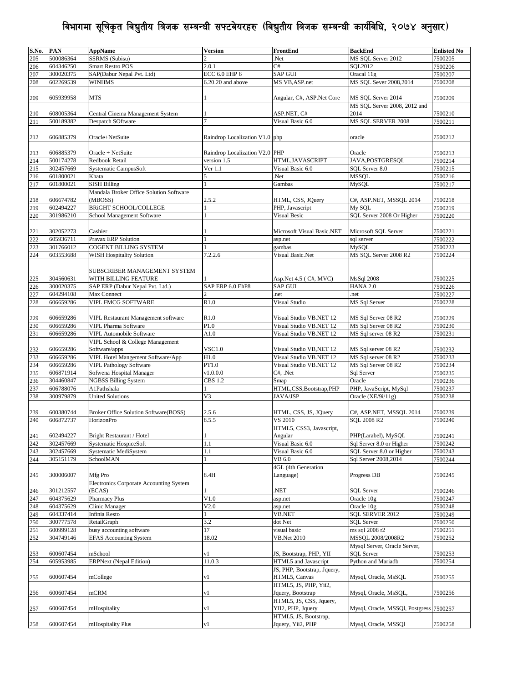| S.No. | <b>PAN</b> | <b>AppName</b>                                 | Version                        | FrontEnd                    | <b>BackEnd</b>                          | <b>Enlisted No</b> |
|-------|------------|------------------------------------------------|--------------------------------|-----------------------------|-----------------------------------------|--------------------|
| 205   | 500086364  | <b>SSRMS</b> (Subisu)                          |                                | Net.                        | MS SQL Server 2012                      | 7500205            |
| 206   | 604346250  | <b>Smart Restro POS</b>                        | 2.0.1                          | C#                          | SQL2012                                 | 7500206            |
|       | 300020375  |                                                | ECC 6.0 EHP 6                  | <b>SAP GUI</b>              |                                         | 7500207            |
| 207   |            | SAP(Dabur Nepal Pvt. Ltd)                      |                                |                             | Oracal 11g                              |                    |
| 208   | 602269539  | WINHMS                                         | 6.20.20 and above              | MS VB, ASP.net              | MS SQL Sever 2008,2014                  | 7500208            |
|       |            |                                                |                                |                             |                                         |                    |
| 209   | 605939958  | <b>MTS</b>                                     |                                | Angular, C#, ASP.Net Core   | MS SQL Server 2014                      | 7500209            |
|       |            |                                                |                                |                             | MS SQL Server 2008, 2012 and            |                    |
| 210   | 608005364  | Central Cinema Management System               |                                | ASP.NET, C#                 | 2014                                    | 7500210            |
| 211   | 500189382  | Despatch SOftware                              | 7                              | Visual Basic 6.0            | MS SQL SERVER 2008                      | 7500211            |
|       |            |                                                |                                |                             |                                         |                    |
| 212   | 606885379  | Oracle+NetSuite                                | Raindrop Localization V1.0 php |                             | oracle                                  | 7500212            |
|       |            |                                                |                                |                             |                                         |                    |
|       |            |                                                |                                |                             |                                         |                    |
| 213   | 606885379  | Oracle + NetSuite                              | Raindrop Localization V2.0 PHP |                             | Oracle                                  | 7500213            |
| 214   | 500174278  | Redbook Retail                                 | version 1.5                    | HTML, JAVASCRIPT            | JAVA, POSTGRESQL                        | 7500214            |
| 215   | 302457669  | Systematic CampusSoft                          | Ver 1.1                        | Visual Basic 6.0            | SOL Server 8.0                          | 7500215            |
| 216   | 601800021  | Khata                                          |                                | Net.                        | <b>MSSQL</b>                            | 7500216            |
| 217   | 601800021  | <b>SISH Billing</b>                            |                                | Gambas                      | MySQL                                   | 7500217            |
|       |            | Mandala Broker Office Solution Software        |                                |                             |                                         |                    |
| 218   | 606674782  | (MBOSS)                                        | 2.5.2                          | HTML, CSS, JQuery           | C#, ASP.NET, MSSQL 2014                 | 7500218            |
| 219   | 602494227  | <b>BRIGHT SCHOOL/COLLEGE</b>                   |                                | PHP, Javascript             | My SQL                                  | 7500219            |
|       | 301986210  | School Management Software                     |                                | Visual Besic                | SQL Server 2008 Or Higher               |                    |
| 220   |            |                                                |                                |                             |                                         | 7500220            |
|       |            |                                                |                                |                             |                                         |                    |
| 221   | 302052273  | Cashier                                        |                                | Microsoft Visual Basic.NET  | Microsoft SOL Server                    | 7500221            |
| 222   | 605936711  | Pravax ERP Solution                            |                                | asp.net                     | sql server                              | 7500222            |
| 223   | 301766012  | COGENT BILLING SYSTEM                          |                                | gambas                      | <b>MySQL</b>                            | 7500223            |
| 224   | 603553688  | <b>WISH Hospitality Solution</b>               | 7.2.2.6                        | Visual Basic.Net            | MS SQL Server 2008 R2                   | 7500224            |
|       |            |                                                |                                |                             |                                         |                    |
|       |            | SUBSCRIBER MANAGEMENT SYSTEM                   |                                |                             |                                         |                    |
|       | 304560631  | WITH BILLING FEATURE                           |                                | Asp.Net 4.5 (C#, MVC)       | MsSql 2008                              |                    |
| 225   |            |                                                |                                |                             |                                         | 7500225            |
| 226   | 300020375  | SAP ERP (Dabur Nepal Pvt. Ltd.)                | SAP ERP 6.0 EhP8               | <b>SAP GUI</b>              | <b>HANA 2.0</b>                         | 7500226            |
| 227   | 604294108  | Max Connect                                    | $\overline{c}$                 | .net                        | .net                                    | 7500227            |
| 228   | 606659286  | <b>VIPL FMCG SOFTWARE</b>                      | R1.0                           | Visual Studio               | MS Sql Server                           | 7500228            |
|       |            |                                                |                                |                             |                                         |                    |
| 229   | 606659286  | VIPL Restaurant Management software            | R1.0                           | Visual Studio VB.NET 12     | MS Sql Server 08 R2                     | 7500229            |
| 230   | 606659286  | <b>VIPL Pharma Software</b>                    | P1.0                           | Visual Studio VB.NET 12     | MS Sql Server 08 R2                     | 7500230            |
| 231   | 606659286  | <b>VIPL Automobile Software</b>                | A1.0                           | Visual Studio VB.NET 12     | MS Sql server 08 R2                     | 7500231            |
|       |            | VIPL School & College Management               |                                |                             |                                         |                    |
|       |            | Software/apps                                  | <b>VSC1.0</b>                  |                             |                                         |                    |
| 232   | 606659286  |                                                |                                | Visual Studio VB, NET 12    | MS Sql server 08 R2                     | 7500232            |
| 233   | 606659286  | VIPL Hotel Mangement Software/App              | H1.0                           | Visual Studio VB.NET 12     | MS Sql server 08 R2                     | 7500233            |
| 234   | 606659286  | <b>VIPL Pathology Software</b>                 | PT1.0                          | Visual Studio VB.NET 12     | MS Sql Server 08 R2                     | 7500234            |
| 235   | 606871914  | Sofwena Hospital Manager                       | v1.0.0.0                       | C#, .Net                    | Sql Server                              | 7500235            |
| 236   | 304460847  | <b>NGBSS Billing System</b>                    | CBS 1.2                        | Smap                        | Oracle                                  | 7500236            |
| 237   | 606788076  | A1Pathshala                                    |                                | HTML,CSS,Bootstrap,PHP      | PHP, JavaScript, MySql                  | 7500237            |
| 238   | 300979879  | <b>United Solutions</b>                        | V3                             | <b>JAVA/JSP</b>             | Oracle (XE/9i/11g)                      | 7500238            |
|       |            |                                                |                                |                             |                                         |                    |
| 239   | 600380744  | <b>Broker Office Solution Software(BOSS)</b>   | 2.5.6                          | HTML, CSS, JS, JQuery       | C#, ASP.NET, MSSQL 2014                 | 7500239            |
| 240   | 606872737  | HorizonPro                                     | 8.5.5                          | VS 2010                     | SQL 2008 R2                             | 7500240            |
|       |            |                                                |                                |                             |                                         |                    |
|       |            |                                                |                                | HTML5, CSS3, Javascript,    |                                         |                    |
| 241   | 602494227  | Bright Restaurant / Hotel                      |                                | Angular                     | PHP(Larabel), MySQL                     | 7500241            |
| 242   | 302457669  | Systematic HospiceSoft                         | 1.1                            | Visual Basic 6.0            | Sql Server 8.0 or Higher                | 7500242            |
| 243   | 302457669  | Systematic MediSystem                          | 1.1                            | Visual Basic 6.0            | SQL Server 8.0 or Higher                | 7500243            |
| 244   | 305151179  | SchoolMAN                                      |                                | VB 6.0                      | Sql Server 2008, 2014                   | 7500244            |
|       |            |                                                |                                | 4GL (4th Generation         |                                         |                    |
| 245   | 300006007  | Mfg Pro                                        | 8.4H                           | Language)                   | Progress DB                             | 7500245            |
|       |            | <b>Electronics Corporate Accounting System</b> |                                |                             |                                         |                    |
|       | 301212557  | (ECAS)                                         |                                | <b>NET</b>                  | <b>SQL Server</b>                       | 7500246            |
| 246   |            | <b>Pharmacy Plus</b>                           | V1.0                           |                             |                                         |                    |
| 247   | 604375629  |                                                |                                | asp.net                     | Oracle 10g                              | 7500247            |
| 248   | 604375629  | Clinic Manager                                 | V2.0                           | asp.net                     | Oracle 10g                              | 7500248            |
| 249   | 604337414  | Infinia Resto                                  |                                | <b>VB.NET</b>               | SQL SERVER 2012                         | 7500249            |
| 250   | 300777578  | RetailGraph                                    | 3.2                            | dot Net                     | <b>SQL Server</b>                       | 7500250            |
| 251   | 600999128  | busy accounting software                       | 17                             | visual basic                | ms sql 2008 r2                          | 7500251            |
| 252   | 304749146  | <b>EFAS Accounting System</b>                  | 18.02                          | <b>VB.Net 2010</b>          | MSSQL 2008/2008R2                       | 7500252            |
|       |            |                                                |                                |                             | Mysql Server, Oracle Server,            |                    |
| 253   | 600607454  | mSchool                                        | vl                             | JS, Bootstrap, PHP, YII     | <b>SOL</b> Server                       | 7500253            |
|       |            | <b>ERPNext (Nepal Edition)</b>                 |                                |                             |                                         |                    |
| 254   | 605953985  |                                                | 11.0.3                         | HTML5 and Javascript        | Python and Mariadb                      | 7500254            |
|       |            |                                                |                                | JS, PHP, Bootstrap, Jquery, |                                         |                    |
| 255   | 600607454  | mCollege                                       | v1                             | HTML5, Canvas               | Mysql, Oracle, MsSQL                    | 7500255            |
|       |            |                                                |                                | HTML5, JS, PHP, Yii2,       |                                         |                    |
| 256   | 600607454  | mCRM                                           | v1                             | Jquery, Bootstrap           | Mysql, Oracle, MsSQL,                   | 7500256            |
|       |            |                                                |                                | HTML5, JS, CSS, Jquery,     |                                         |                    |
| 257   | 600607454  | mHospitality                                   | v1                             | YII2, PHP, Jquery           | Mysql, Oracle, MSSQl, Postgress 7500257 |                    |
|       |            |                                                |                                | HTML5, JS, Bootstrap,       |                                         |                    |
|       | 600607454  |                                                | v1                             | Jquery, Yii2, PHP           |                                         |                    |
| 258   |            | mHospitality Plus                              |                                |                             | Mysql, Oracle, MSSQl                    | 7500258            |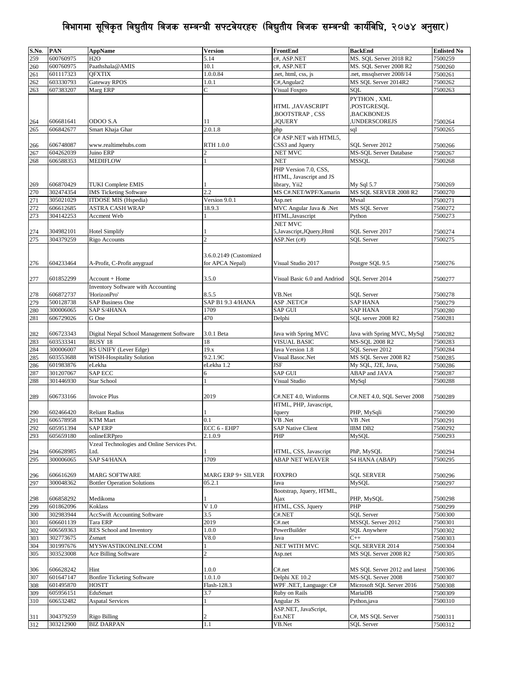| S.No. | <b>PAN</b> | <b>AppName</b>                              | <b>Version</b>         | FrontEnd                     | <b>BackEnd</b>                | <b>Enlisted No</b> |
|-------|------------|---------------------------------------------|------------------------|------------------------------|-------------------------------|--------------------|
| 259   | 600760975  | H2O                                         | 5.14                   | c#, ASP.NET                  | MS. SQL Server 2018 R2        | 7500259            |
|       |            |                                             |                        |                              |                               |                    |
| 260   | 600760975  | Paathshala@AMIS                             | 10.1                   | c#, ASP.NET                  | MS. SQL Server 2008 R2        | 7500260            |
| 261   | 601117323  | <b>OFXTIX</b>                               | 1.0.0.84               | .net, html, css, js          | net, mssqlserver 2008/14      | 7500261            |
| 262   | 603330793  | Gateway RPOS                                | 1.0.1                  | C#, Angular2                 | MS SQL Server 2014R2          | 7500262            |
| 263   | 607383207  | Marg ERP                                    | $\overline{C}$         | <b>Visual Foxpro</b>         | SOL                           | 7500263            |
|       |            |                                             |                        |                              |                               |                    |
|       |            |                                             |                        |                              | PYTHON, XML                   |                    |
|       |            |                                             |                        | HTML ,JAVASCRIPT             | ,POSTGRESQL                   |                    |
|       |            |                                             |                        | ,BOOTSTRAP, CSS              | BACKBONEJS,                   |                    |
| 264   | 606681641  | ODOO S.A                                    | 11                     | JQUERY,                      | UNDERSCOREJS,                 | 7500264            |
| 265   | 606842677  | Smart Khaja Ghar                            | 2.0.1.8                | php                          | sql                           | 7500265            |
|       |            |                                             |                        | C# ASP.NET with HTML5,       |                               |                    |
|       |            |                                             |                        |                              |                               |                    |
| 266   | 606748087  | www.realtimehubs.com                        | RTH 1.0.0              | CSS3 and Jquery              | SOL Server 2012               | 7500266            |
| 267   | 604262039  | Juino ERP                                   |                        | .NET MVC                     | <b>MS-SOL Server Database</b> | 7500267            |
| 268   | 606588353  | MEDIFLOW                                    |                        | .NET                         | MSSQL                         | 7500268            |
|       |            |                                             |                        | PHP Version 7.0, CSS,        |                               |                    |
|       |            |                                             |                        | HTML, Javascript and JS      |                               |                    |
|       |            |                                             |                        |                              |                               |                    |
| 269   | 606870429  | <b>TUKI Complete EMIS</b>                   |                        | library, Yii2                | My Sql 5.7                    | 7500269            |
| 270   | 302474354  | <b>IMS</b> Ticketing Software               | 2.2                    | MS C#.NET/WPF/Xamarin        | MS SOL SERVER 2008 R2         | 7500270            |
| 271   | 305021029  | ITDOSE MIS (Hspedia)                        | Version 9.0.1          | Asp.net                      | Mvsal                         | 7500271            |
| 272   | 606612685  | <b>ASTRA CASH WRAP</b>                      | 18.9.3                 | MVC Angular Java & .Net      | <b>MS SQL Server</b>          | 7500272            |
|       | 304142253  | Accment Web                                 |                        | HTML, Javascript             | Python                        |                    |
| 273   |            |                                             |                        |                              |                               | 7500273            |
|       |            |                                             |                        | NET MVC                      |                               |                    |
| 274   | 304982101  | <b>Hotel Simplify</b>                       |                        | 5, Javascript, JQuery, Html  | SOL Server 2017               | 7500274            |
| 275   | 304379259  | Rigo Accounts                               |                        | ASP.Net (c#)                 | <b>SQL Server</b>             | 7500275            |
|       |            |                                             |                        |                              |                               |                    |
|       |            |                                             |                        |                              |                               |                    |
|       |            |                                             | 3.6.0.2149 (Customized |                              |                               |                    |
| 276   | 604233464  | A-Profit, C-Profit anygraaf                 | for APCA Nepal)        | Visual Studio 2017           | Postgre SQL 9.5               | 7500276            |
|       |            |                                             |                        |                              |                               |                    |
| 277   | 601852299  | Account + Home                              | 3.5.0                  | Visual Basic 6.0 and Andriod | SOL Server 2014               | 7500277            |
|       |            | Inventory Software with Accounting          |                        |                              |                               |                    |
|       |            |                                             |                        |                              |                               |                    |
| 278   | 606872737  | 'HorizonPro'                                | 8.5.5                  | VB.Net                       | <b>SOL Server</b>             | 7500278            |
| 279   | 500128738  | <b>SAP Business One</b>                     | SAP B1 9.3 4/HANA      | ASP.NET/C#                   | <b>SAP HANA</b>               | 7500279            |
| 280   | 300006065  | SAP S/4HANA                                 | 1709                   | <b>SAP GUI</b>               | <b>SAP HANA</b>               | 7500280            |
| 281   | 606729026  | G One                                       | 470                    | Delphi                       | SQL server 2008 R2            | 7500281            |
|       |            |                                             |                        |                              |                               |                    |
|       |            |                                             |                        |                              |                               |                    |
| 282   | 606723343  | Digital Nepal School Management Software    | 3.0.1 Beta             | Java with Spring MVC         | Java with Spring MVC, MySql   | 7500282            |
| 283   | 603533341  | <b>BUSY 18</b>                              | 18                     | <b>VISUAL BASIC</b>          | <b>MS-SQL 2008 R2</b>         | 7500283            |
| 284   | 300006007  | RS UNIFY (Lever Edge)                       | 19.x                   | Java Version 1.8             | SOL Server 2012               | 7500284            |
| 285   | 603553688  | <b>WISH-Hospitality Solution</b>            | 9.2.1.9C               | Visual Basoc.Net             | MS SOL Server 2008 R2         | 7500285            |
|       |            |                                             |                        |                              |                               |                    |
| 286   | 601983876  | eLekha                                      | eLekha 1.2             | <b>JSF</b>                   | My SQL, J2E, Java,            | 7500286            |
| 287   | 301207067  | SAP ECC                                     | 6                      | <b>SAP GUI</b>               | ABAP and JAVA                 | 7500287            |
| 288   | 301446930  | Star School                                 |                        | Visual Studio                | MySql                         | 7500288            |
|       |            |                                             |                        |                              |                               |                    |
| 289   | 606733166  | <b>Invoice Plus</b>                         | 2019                   | C#.NET 4.0, Winforms         | C#.NET 4.0, SQL Server 2008   | 7500289            |
|       |            |                                             |                        |                              |                               |                    |
|       |            |                                             |                        | HTML, PHP, Javascript,       |                               |                    |
| 290   | 602466420  | <b>Reliant Radius</b>                       |                        | Jquery                       | PHP, MySqli                   | 7500290            |
| 291   | 606578958  | <b>KTM</b> Mart                             | 0.1                    | VB .Net                      | VB .Net                       | 7500291            |
| 292   | 605951394  | <b>SAP ERP</b>                              | ECC 6 - EHP7           | <b>SAP Native Client</b>     | IBM DB2                       | 7500292            |
| 293   | 605659180  | onlineERPpro                                | 2.1.0.9                | PHP                          | <b>MySQL</b>                  | 7500293            |
|       |            |                                             |                        |                              |                               |                    |
|       |            | Vzeal Technologies and Online Services Pvt. |                        |                              |                               |                    |
| 294   | 606628985  | Ltd.                                        |                        | HTML, CSS, Javascript        | PhP, MySQL                    | 7500294            |
| 295   | 300006065  | SAP S4/HANA                                 | 1709                   | <b>ABAP NET WEAVER</b>       | S4 HANA (ABAP)                | 7500295            |
|       |            |                                             |                        |                              |                               |                    |
| 296   | 606616269  | <b>MARG SOFTWARE</b>                        | MARG ERP 9+ SILVER     | <b>FOXPRO</b>                | <b>SQL SERVER</b>             | 7500296            |
| 297   | 300048362  | <b>Bottler Operation Solutions</b>          | 05.2.1                 | Java                         | MySQL                         |                    |
|       |            |                                             |                        |                              |                               | 7500297            |
|       |            |                                             |                        | Bootstrap, Jquery, HTML,     |                               |                    |
| 298   | 606858292  | Medikoma                                    |                        | Ajax                         | PHP, MySQL                    | 7500298            |
| 299   | 601862096  | Koklass                                     | $\rm V$ 1.0            | HTML, CSS, Jquery            | PHP                           | 7500299            |
| 300   | 302983944  | <b>AccSwift Accounting Software</b>         | 3.5                    | C#.NET                       | <b>SQL Server</b>             | 7500300            |
|       |            | Tara ERP                                    | 2019                   |                              | <b>MSSQL Server 2012</b>      |                    |
| 301   | 606601139  |                                             |                        | C#.net                       |                               | 7500301            |
| 302   | 606569363  | RES School and Inventory                    | 1.0.0                  | PowerBuilder                 | <b>SQL</b> Anywhere           | 7500302            |
| 303   | 302773675  | Zsmart                                      | V8.0                   | Java                         | $C++$                         | 7500303            |
| 304   | 301997676  | MYSWASTIKONLINE.COM                         |                        | NET WITH MVC                 | SQL SERVER 2014               | 7500304            |
| 305   | 303523008  | Ace Billing Software                        | $\overline{c}$         | Asp.net                      | MS SQL Server 2008 R2         | 7500305            |
|       |            |                                             |                        |                              |                               |                    |
|       |            |                                             |                        |                              |                               |                    |
| 306   | 606628242  | Hint                                        | 1.0.0                  | C#.net                       | MS SQL Server 2012 and latest | 7500306            |
| 307   | 601647147  | <b>Bonfire Ticketing Software</b>           | 1.0.1.0                | Delphi XE 10.2               | MS-SQL Server 2008            | 7500307            |
| 308   | 601495870  | HOSTT                                       | Flash-128.3            | WPF.NET, Language: C#        | Microsoft SQL Server 2016     | 7500308            |
| 309   | 605956151  | EduSmart                                    | 3.7                    | Ruby on Rails                | MariaDB                       | 7500309            |
|       |            |                                             |                        |                              |                               |                    |
| 310   | 606532482  | <b>Aspatal Services</b>                     |                        | Angular JS                   | Python, java                  | 7500310            |
|       |            |                                             |                        | ASP.NET, JavaScript,         |                               |                    |
| 311   | 304379259  | <b>Rigo Billing</b>                         |                        | Ext.NET                      | C#, MS SQL Server             | 7500311            |
| 312   | 303212900  | <b>BIZ DARPAN</b>                           | 1.1                    | VB.Net                       | <b>SQL Server</b>             | 7500312            |
|       |            |                                             |                        |                              |                               |                    |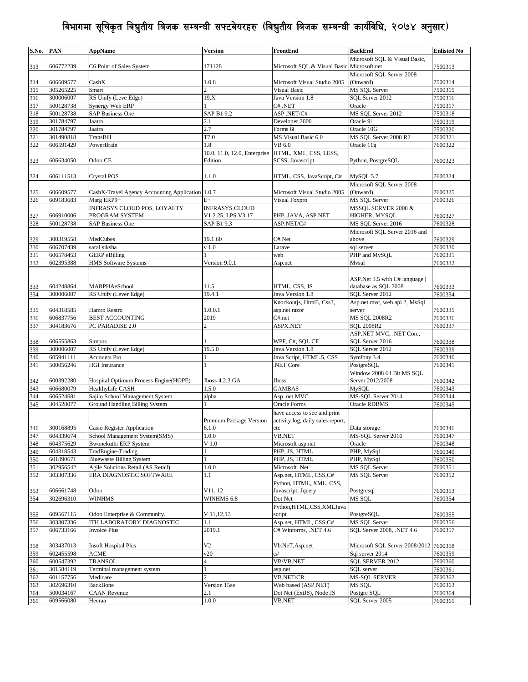| S.No. | PAN       | AppName                                          | <b>Version</b>                                     | FrontEnd                                   | <b>BackEnd</b>                         | <b>Enlisted No</b> |
|-------|-----------|--------------------------------------------------|----------------------------------------------------|--------------------------------------------|----------------------------------------|--------------------|
|       |           |                                                  |                                                    |                                            | Microsoft SQL & Visual Basic,          |                    |
| 313   | 606772239 | C6 Point of Sales System                         | 171128                                             | Microsoft SQL & Visual Basic Microsoft.net |                                        | 7500313            |
|       |           |                                                  |                                                    |                                            | Microsoft SQL Server 2008              |                    |
| 314   | 606609577 | CashX                                            | 1.0.8                                              | Microsoft Visual Studio 2005               | (Onward)                               | 7500314            |
| 315   | 305265225 | Smart                                            | $\overline{c}$                                     | <b>Visual Basic</b>                        | MS SQL Server                          | 7500315            |
| 316   | 300006007 | RS Unify (Leve Edge)                             | 19.X                                               | Java Version 1.8                           | SQL Server 2012                        | 7500316            |
| 317   | 500128738 | Synergy Web ERP                                  |                                                    | $C#$ .NET                                  | Oracle                                 | 7500317            |
| 318   | 500128738 | <b>SAP Business One</b>                          | SAP B1 9.2                                         | ASP.NET/C#                                 | MS SQL Server 2012                     | 7500318            |
| 319   | 301784797 | Jaatra                                           | 2.1                                                | Developer 2000                             | Oracle 9i                              | 7500319            |
| 320   | 301784797 | Jaatra                                           | 2.7                                                | Forms 6i                                   | Oracle 10G                             | 7500320            |
| 321   | 301490818 | TransBill                                        | T7.0                                               | MS Visual Basic 6.0                        | MS SQL Server 2008 R2                  | 7600321            |
| 322   | 606591429 | PowerBrain                                       | 1.8                                                | VB 6.0                                     | Oracle 11g                             | 7600322            |
|       |           |                                                  | 10.0, 11.0, 12.0, Enterprise HTML, XML, CSS, LESS, |                                            |                                        |                    |
| 323   | 606634050 | Odoo CE                                          | Edition                                            | SCSS, Javascript                           | Python, PostgreSOL                     | 7600323            |
|       |           |                                                  |                                                    |                                            |                                        |                    |
| 324   | 606111513 | Crystal POS                                      | 1.1.0                                              | HTML, CSS, JavaScript, C#                  | MySOL 5.7                              | 7600324            |
|       |           |                                                  |                                                    |                                            | Microsoft SQL Server 2008              |                    |
| 325   | 606609577 | CashX-Travel Agency Accounting Application 1.0.7 |                                                    | Microsoft Visual Studio 2005               | (Onward)                               | 7600325            |
| 326   | 609183683 | Marg ERP9+                                       | $E+$                                               | Visual Foxpro                              | MS SQL Server                          | 7600326            |
|       |           |                                                  |                                                    |                                            |                                        |                    |
|       |           | INFRASYS CLOUD POS, LOYALTY<br>PROGRAM SYSTEM    | <b>INFRASYS CLOUD</b><br>V1.2.25, LPS V3.17        | PHP, JAVA, ASP.NET                         | MSSQL SERVER 2008 &                    |                    |
| 327   | 606910006 |                                                  |                                                    |                                            | HIGHER, MYSQL                          | 7600327            |
| 328   | 500128738 | <b>SAP Business One</b>                          | SAP B1 9.3                                         | ASP.NET/C#                                 | MS SQL Server 2016                     | 7600328            |
|       |           |                                                  |                                                    |                                            | Microsoft SQL Server 2016 and          |                    |
| 329   | 300319558 | MedCubes                                         | 19.1.60                                            | C#.Net                                     | above                                  | 7600329            |
| 330   | 606707439 | saral siksha                                     | $v$ 1.0                                            | Larave                                     | sql server                             | 7600330            |
| 331   | 606578453 | <b>GERP</b> eBilling                             |                                                    | web                                        | PHP and MySQL                          | 7600331            |
| 332   | 602395388 | <b>HMS Software Systems</b>                      | Version 9.0.1                                      | Asp.net                                    | Mvsal                                  | 7600332            |
|       |           |                                                  |                                                    |                                            |                                        |                    |
|       |           |                                                  |                                                    |                                            | ASP. Net 3.5 with C# language          |                    |
| 333   | 604248864 | MARPHAeSchool                                    | 11.5                                               | HTML, CSS, JS                              | database as SQL 2008                   | 7600333            |
| 334   | 300006007 | RS Unify (Lever Edge)                            | 19.4.1                                             | Java Version 1.8                           | SOL Server 2012                        | 7600334            |
|       |           |                                                  |                                                    | Knockoutjs, Html5, Css3,                   | Asp.net mvc, web api 2, MsSql          |                    |
| 335   | 604318585 | Hamro Restro                                     | 1.0.0.1                                            | asp.net razor                              | server                                 | 7600335            |
| 336   | 606837756 | <b>BEST ACCOUNTING</b>                           | 2019                                               | C#.net                                     | <b>MS SQL 2008R2</b>                   | 7600336            |
| 337   | 304183676 | PC PARADISE 2.0                                  | $\mathfrak{D}$                                     | ASPX.NET                                   | <b>SQL 2008R2</b>                      | 7600337            |
|       |           |                                                  |                                                    |                                            | ASP.NET MVC, .NET Core,                |                    |
| 338   | 606555863 | Simpos                                           |                                                    | WPF, C#, SQL CE                            | SOL Server 2016                        | 7600338            |
| 339   | 300006007 | RS Unify (Lever Edge)                            | 19.5.0                                             | Java Version 1.8                           | SQL Server 2012                        | 7600339            |
| 340   | 605941111 | <b>Accounts Pro</b>                              |                                                    | Java Script, HTML 5, CSS                   | Symfony 3.4                            | 7600340            |
| 341   | 500056246 | <b>HGI</b> Insurance                             |                                                    | <b>NET Core</b>                            | PostgreSQL                             | 7600341            |
|       |           |                                                  |                                                    |                                            | Window 2008 64 Bit MS SQL              |                    |
| 342   | 600392280 | Hospital Optimum Process Engine(HOPE)            | Jboss 4.2.3.GA                                     | Jboss                                      | Server 2012/2008                       | 7600342            |
| 343   | 606680079 | HealthyLife CASH                                 | 1.5.0                                              | <b>GAMBAS</b>                              | <b>MySQL</b>                           | 7600343            |
|       |           | Sajilo School Management System                  |                                                    | Asp .net MVC                               | MS-SQL Server 2014                     |                    |
| 344   | 606524681 |                                                  | alpha                                              |                                            | Oracle RDBMS                           | 7600344            |
| 345   | 304528077 | Ground Handling Billing System                   |                                                    | <b>Oracle Forms</b>                        |                                        | 7600345            |
|       |           |                                                  |                                                    | have access to see and print               |                                        |                    |
|       |           |                                                  | Premium Package Version                            | activity log, daily sales report,          |                                        |                    |
| 346   | 300168895 | Casio Register Application                       | 6.1.0                                              | etc                                        | Data storage                           | 7600346            |
| 347   | 604339674 | School Management System(SMS)                    | 1.0.0                                              | VB.NET                                     | MS-SQL Server 2016                     | 7600347            |
| 348   | 604375629 | <b>Bwonekuthi ERP System</b>                     | V <sub>1.0</sub>                                   | Microsoft asp.net                          | Oracle                                 | 7600348            |
| 349   | 604318543 | TradEngine-Trading                               |                                                    | PHP, JS, HTML                              | PHP, MySql                             | 7600349            |
| 350   | 601890671 | <b>Bluewaste Billing System</b>                  |                                                    | PHP, JS, HTML                              | PHP, MySql                             | 7600350            |
| 351   | 302956542 | Agile Solutions Retail (AS Retail)               | 1.0.0                                              | Microsoft .Net                             | MS SQL Server                          | 7600351            |
| 352   | 303307336 | ERA DIAGNOSTIC SOFTWARE                          | 1.1                                                | Asp.net, HTML, CSS, C#                     | MS SQL Server                          | 7600352            |
|       |           |                                                  |                                                    | Python, HTML, XML, CSS,                    |                                        |                    |
| 353   | 606661748 | Odoo                                             | V11, 12                                            | Javascript, Jquery                         | Postgresql                             | 7600353            |
| 354   | 302696310 | WINHMS                                           | WINHMS 6.8                                         | Dot Net                                    | MS SQL                                 | 7600354            |
|       |           |                                                  |                                                    | Python, HTML, CSS, XML Java                |                                        |                    |
| 355   | 609567115 | Odoo Enterprise & Community.                     | V 11, 12, 13                                       | script                                     | PostgreSQL                             | 7600355            |
| 356   | 303307336 | ITH LABORATORY DIAGNOSTIC                        | 1.1                                                | Asp.net, HTML, CSS,C#                      | MS SQL Server                          | 7600356            |
| 357   | 606733166 | <b>Invoice Plus</b>                              | 2019.1                                             | C# Winforms, .NET 4.6                      | SQL Server 2008, .NET 4.6              | 7600357            |
|       |           |                                                  |                                                    |                                            |                                        |                    |
| 358   | 303437013 | Insoft Hospital Plus                             | V <sub>2</sub>                                     | Vb.NeT,Asp.net                             | Microsoft SQL Server 2008/2012 7600358 |                    |
| 359   | 602455598 | <b>ACME</b>                                      | v20                                                | c#                                         | Sql server 2014                        | 7600359            |
| 360   | 600547392 | TRANSOL                                          | 4                                                  | VB/VB.NET                                  | SQL SERVER 2012                        | 7600360            |
| 361   | 301584119 | Terminal management system                       |                                                    | asp.net                                    | SQL server                             | 7600361            |
| 362   | 601157756 | Medicare                                         | $\overline{c}$                                     | VB.NET/CR                                  | <b>MS-SQL SERVER</b>                   | 7600362            |
| 363   | 302696310 | BackBone                                         | Version 15se                                       | Web based (ASP.NET)                        | MS SQL                                 | 7600363            |
| 364   | 500034167 | <b>CAAN</b> Revenue                              | 2.1                                                | Dot Net (ExtJS), Node JS                   | Postgre SQL                            | 7600364            |
| 365   |           |                                                  | 1.0.0                                              | <b>VB.NET</b>                              | SQL Server 2005                        | 7600365            |
|       | 609566080 | Heeraa                                           |                                                    |                                            |                                        |                    |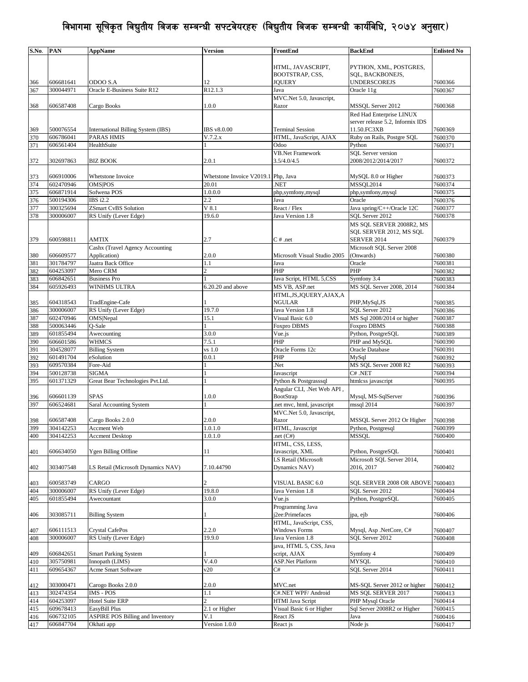| S.No.      | <b>PAN</b> | <b>AppName</b>                          | <b>Version</b>                      | FrontEnd                     | <b>BackEnd</b>                   | <b>Enlisted No</b> |
|------------|------------|-----------------------------------------|-------------------------------------|------------------------------|----------------------------------|--------------------|
|            |            |                                         |                                     |                              |                                  |                    |
|            |            |                                         |                                     | HTML, JAVASCRIPT,            | PYTHON, XML, POSTGRES,           |                    |
|            |            |                                         |                                     | BOOTSTRAP, CSS,              | SQL, BACKBONEJS,                 |                    |
| 366        | 606681641  | ODOO S.A                                | 12                                  | JQUERY                       | <b>UNDERSCOREJS</b>              | 7600366            |
| 367        | 300044971  | Oracle E-Business Suite R12             | R <sub>12.1.3</sub>                 | Java                         | Oracle 11g                       | 7600367            |
|            |            |                                         |                                     | MVC.Net 5.0, Javascript,     |                                  |                    |
| 368        | 606587408  | Cargo Books                             | 1.0.0                               | Razor                        | MSSQL Server 2012                | 7600368            |
|            |            |                                         |                                     |                              | Red Had Enterprise LINUX         |                    |
|            |            |                                         |                                     |                              | server release 5.2, Informix IDS |                    |
| 369        | 500076554  | International Billing System (IBS)      | IBS v8.0.00                         | <b>Terminal Session</b>      | 11.50.FC3XB                      | 7600369            |
| 370        | 606786041  | PARAS HMIS                              | V.7.2.x                             | HTML, JavaScript, AJAX       | Ruby on Rails, Postgre SQL       | 7600370            |
| 371        | 606561404  | HealthSuite                             |                                     | Odoo                         | Python                           | 7600371            |
|            |            |                                         |                                     | <b>VB.Net Framework</b>      | <b>SQL</b> Server version        |                    |
| 372        | 302697863  | <b>BIZ BOOK</b>                         | 2.0.1                               | 3.5/4.0/4.5                  | 2008/2012/2014/2017              | 7600372            |
|            |            |                                         |                                     |                              |                                  |                    |
|            | 606910006  | Whetstone Invoice                       | Whetstone Invoice V2019.1 Php, Java |                              | MySQL 8.0 or Higher              | 7600373            |
| 373<br>374 | 602470946  | <b>OMS POS</b>                          | 20.01                               | <b>NET</b>                   | MSSQL2014                        | 7600374            |
|            | 606871914  | Sofwena POS                             | 1.0.0.0                             |                              |                                  |                    |
| 375        |            | IBS i2.2                                |                                     | php,symfony,mysql            | php,symfony,mysql                | 7600375            |
| 376        | 500194306  |                                         | 2.2                                 | Java                         | Oracle                           | 7600376            |
| 377        | 300325694  | <b>ZSmart CvBS Solution</b>             | $V$ 8.1                             | React / Flex                 | Java spring/C++/Oracle 12C       | 7600377            |
| 378        | 300006007  | RS Unify (Lever Edge)                   | 19.6.0                              | Java Version 1.8             | SQL Server 2012                  | 7600378            |
|            |            |                                         |                                     |                              | MS SOL SERVER 2008R2, MS         |                    |
|            |            |                                         |                                     |                              | SOL SERVER 2012, MS SOL          |                    |
| 379        | 600598811  | <b>AMTIX</b>                            | 2.7                                 | $C \#$ .net                  | <b>SERVER 2014</b>               | 7600379            |
|            |            | Cashx (Travel Agency Accounting         |                                     |                              | Microsoft SQL Server 2008        |                    |
| 380        | 606609577  | Application)                            | 2.0.0                               | Microsoft Visual Studio 2005 | (Onwards)                        | 7600380            |
| 381        | 301784797  | Jaatra Back Office                      | 1.1                                 | Java                         | Oracle                           | 7600381            |
| 382        | 604253097  | Mero CRM                                | $\overline{c}$                      | PHP                          | PHP                              | 7600382            |
| 383        | 606842651  | <b>Business Pro</b>                     |                                     | Java Script, HTML 5,CSS      | Symfony 3.4                      | 7600383            |
| 384        | 605926493  | WINHMS ULTRA                            | $6.20.20$ and above                 | MS VB, ASP.net               | MS SOL Server 2008, 2014         | 7600384            |
|            |            |                                         |                                     | HTML, JS, JQUERY, AJAX, A    |                                  |                    |
| 385        | 604318543  | TradEngine-Cafe                         |                                     | NGULAR                       | PHP, MySql, JS                   | 7600385            |
| 386        | 300006007  | RS Unify (Lever Edge)                   | 19.7.0                              | Java Version 1.8             | SQL Server 2012                  | 7600386            |
| 387        | 602470946  | OMS Nepal                               | 15.1                                | Visual Basic 6.0             | MS Sql 2008/2014 or higher       | 7600387            |
| 388        | 500063446  | O-Sale                                  |                                     | <b>Foxpro DBMS</b>           | <b>Foxpro DBMS</b>               | 7600388            |
| 389        | 601855494  | Awecounting                             | 3.0.0                               | Vue.js                       | Python, PostgreSQL               | 7600389            |
| 390        | 606601586  | WHMCS                                   | 7.5.1                               | PHP                          | PHP and MySQL                    | 7600390            |
| 391        | 304528077  | <b>Billing System</b>                   | vs 1.0                              | Oracle Forms 12c             | Oracle Database                  | 7600391            |
| 392        | 601491704  | eSolution                               | 0.0.1                               | PHP                          | MySql                            | 7600392            |
| 393        | 609570384  | Fore-Aid                                |                                     | Net.                         | MS SQL Server 2008 R2            | 7600393            |
| 394        | 500128738  | SIGMA                                   |                                     | Javascript                   | C# .NET                          | 7600394            |
| 395        | 601371329  | Great Bear Technologies Pvt.Ltd.        |                                     | Python & Postgrasssql        | htmlcss javascript               | 7600395            |
|            |            |                                         |                                     | Angular CLI, .Net Web API,   |                                  |                    |
| 396        | 606601139  | <b>SPAS</b>                             | 1.0.0                               | <b>BootStrap</b>             | Mysql, MS-SqlServer              | 7600396            |
| 397        | 606524681  | Saral Accounting System                 |                                     | .net mvc, html, javascript   | mssql 2014                       | 7600397            |
|            |            |                                         |                                     | MVC.Net 5.0, Javascript,     |                                  |                    |
| 398        | 606587408  | Cargo Books 2.0.0                       | 2.0.0                               | Razor                        | MSSQL Server 2012 Or Higher      | 7600398            |
| 399        | 304142253  | Accment Web                             | 1.0.1.0                             | HTML, Javascript             | Python, Postgresql               | 7600399            |
| 400        | 304142253  | <b>Accment Desktop</b>                  | 1.0.1.0                             | .net $(C#)$                  | <b>MSSQL</b>                     | 7600400            |
|            |            |                                         |                                     | HTML, CSS, LESS,             |                                  |                    |
| 401        | 606634050  | Ygen Billing Offline                    | 11                                  | Javascript, XML              | Python, PostgreSQL               | 7600401            |
|            |            |                                         |                                     | LS Retail (Microsoft         | Microsoft SQL Server 2014,       |                    |
| 402        | 303407548  | LS Retail (Microsoft Dynamics NAV)      | 7.10.44790                          | Dynamics NAV)                | 2016, 2017                       | 7600402            |
|            |            |                                         |                                     |                              |                                  |                    |
| 403        | 600583749  | CARGO                                   | $\overline{c}$                      | VISUAL BASIC 6.0             | SQL SERVER 2008 OR ABOVE         | 7600403            |
| 404        | 300006007  | RS Unify (Lever Edge)                   | 19.8.0                              | Java Version 1.8             | SQL Server 2012                  | 7600404            |
| 405        | 601855494  | Awecountant                             | 3.0.0                               | Vue.js                       | Python, PostgreSQL               | 7600405            |
|            |            |                                         |                                     | Programming Java             |                                  |                    |
| 406        | 303085711  | <b>Billing System</b>                   |                                     | j2ee:Primefaces              | jpa, ejb                         | 7600406            |
|            |            |                                         |                                     | HTML, JavaScript, CSS,       |                                  |                    |
| 407        | 606111513  | <b>Crystal CafePos</b>                  | 2.2.0                               | <b>Windows Forms</b>         | Mysql, Asp .NetCore, C#          | 7600407            |
| 408        | 300006007  | RS Unify (Lever Edge)                   | 19.9.0                              | Java Version 1.8             | SOL Server 2012                  | 7600408            |
|            |            |                                         |                                     |                              |                                  |                    |
|            |            |                                         |                                     | java, HTML 5, CSS, Java      |                                  |                    |
| 409        | 606842651  | <b>Smart Parking System</b>             |                                     | script, AJAX                 | Symfony 4                        | 7600409            |
| 410        | 305750981  | Innopath (LIMS)                         | V.4.0                               | <b>ASP.Net Platform</b>      | <b>MYSOL</b>                     | 7600410            |
| 411        | 609654367  | Acme Smart Software                     | v20                                 | C#                           | SQL Server 2014                  | 7600411            |
|            |            |                                         |                                     |                              |                                  |                    |
| 412        | 303000471  | Carogo Books 2.0.0                      | 2.0.0                               | MVC.net                      | MS-SQL Server 2012 or higher     | 7600412            |
| 413        | 302474354  | IMS - POS                               | 1.1                                 | C#.NET WPF/ Android          | MS SQL SERVER 2017               | 7600413            |
| 414        | 604253097  | <b>Hotel Suite ERP</b>                  | $\overline{c}$                      | HTMl Java Script             | PHP Mysql Oracle                 | 7600414            |
| 415        | 609678413  | EasyBill Plus                           | $\overline{2.1}$ or Higher          | Visual Basic 6 or Higher     | Sql Server 2008R2 or Higher      | 7600415            |
| 416        | 606732105  | <b>ASPIRE POS Billing and Inventory</b> | V.1                                 | React JS                     | Java                             | 7600416            |
| 417        | 606847704  | Okhati app                              | Version 1.0.0                       | React js                     | Node js                          | 7600417            |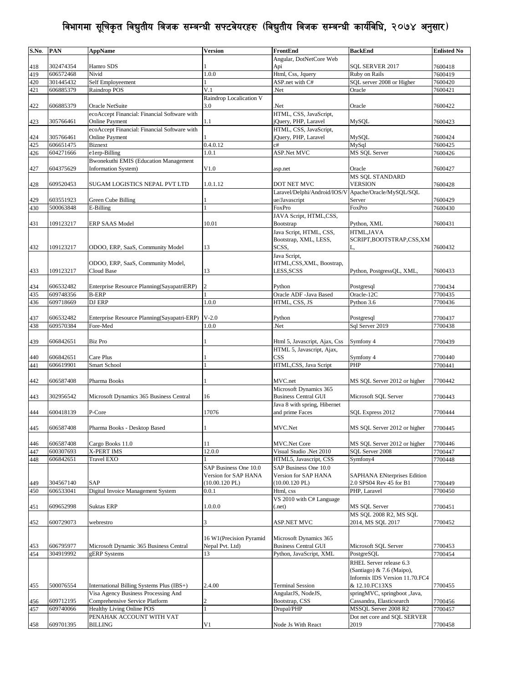| S.No. | <b>PAN</b> | <b>AppName</b>                                             | <b>Version</b>          | FrontEnd                                | <b>BackEnd</b>                     | <b>Enlisted No</b> |
|-------|------------|------------------------------------------------------------|-------------------------|-----------------------------------------|------------------------------------|--------------------|
|       |            |                                                            |                         | Angular, DotNetCore Web                 |                                    |                    |
| 418   | 302474354  | Hamro SDS                                                  |                         | Api                                     | SQL SERVER 2017                    | 7600418            |
| 419   | 606572468  | Nivid                                                      | 1.0.0                   | Html, Css, Jquery                       | Ruby on Rails                      | 7600419            |
| 420   | 301445432  | Self Employeement                                          |                         | ASP.net with C#                         | SQL server 2008 or Higher          | 7600420            |
| 421   | 606885379  | Raindrop POS                                               | V.1                     | Net.                                    | Oracle                             | 7600421            |
|       |            |                                                            | Raindrop Localication V |                                         |                                    |                    |
| 422   | 606885379  | Oracle NetSuite                                            | 3.0                     | Net.                                    | Oracle                             | 7600422            |
|       |            | ecoAccept Financial: Financial Software with               |                         | HTML, CSS, JavaScript,                  |                                    |                    |
| 423   | 305766461  | <b>Online Payment</b>                                      | 1.1                     | jQuery, PHP, Laravel                    | MySQL                              | 7600423            |
|       |            | ecoAccept Financial: Financial Software with               |                         | HTML, CSS, JavaScript,                  |                                    |                    |
| 424   | 305766461  | <b>Online Payment</b>                                      |                         | jQuery, PHP, Laravel                    | MySQL                              | 7600424            |
| 425   | 606651475  | <b>Biznext</b>                                             | 0.4.0.12                | c#                                      | MySql                              | 7600425            |
| 426   | 604271666  | e1erp-Billing                                              | 1.0.1                   | ASP.Net MVC                             | <b>MS SQL Server</b>               | 7600426            |
|       |            | <b>Bwonekuthi EMIS (Education Management</b>               |                         |                                         |                                    |                    |
| 427   | 604375629  | <b>Information System)</b>                                 | V1.0                    | asp.net                                 | Oracle                             | 7600427            |
|       |            |                                                            |                         |                                         | MS SQL STANDARD                    |                    |
| 428   | 609520453  | SUGAM LOGISTICS NEPAL PVT LTD                              | 1.0.1.12                | DOT NET MVC                             | <b>VERSION</b>                     | 7600428            |
|       |            |                                                            |                         | Laravel/Delphi/Android/IOS/V            | Apache/Oracle/MySQL/SQL            |                    |
| 429   | 603551923  | Green Cube Billing                                         |                         | ue/Javascript                           | Server                             | 7600429            |
| 430   | 500063848  | E-Billing                                                  |                         | FoxPro                                  | FoxPro                             | 7600430            |
|       |            |                                                            |                         | JAVA Script, HTML,CSS,                  |                                    |                    |
| 431   | 109123217  | <b>ERP SAAS Model</b>                                      | 10.01                   | Bootstrap                               | Python, XML                        | 7600431            |
|       |            |                                                            |                         | Java Script, HTML, CSS,                 | <b>HTML.JAVA</b>                   |                    |
|       |            |                                                            |                         | Bootstrap, XML, LESS,                   | SCRIPT,BOOTSTRAP,CSS,XM            |                    |
| 432   | 109123217  | ODOO, ERP, SaaS, Community Model                           | 13                      | SCSS,                                   |                                    | 7600432            |
|       |            |                                                            |                         |                                         |                                    |                    |
|       |            |                                                            |                         | Java Script,<br>HTML,CSS,XML, Boostrap, |                                    |                    |
|       | 109123217  | ODOO, ERP, SaaS, Community Model,<br>Cloud Base            | 13                      | LESS,SCSS                               | Python, PostgressQL, XML,          |                    |
| 433   |            |                                                            |                         |                                         |                                    | 7600433            |
|       | 606532482  |                                                            | $\overline{c}$          |                                         |                                    |                    |
| 434   | 609748356  | Enterprise Resource Planning(SayapatriERP)<br><b>B-ERP</b> |                         | Python<br>Oracle ADF -Java Based        | Postgresql<br>Oracle-12C           | 7700434            |
| 435   |            |                                                            |                         |                                         |                                    | 7700435            |
| 436   | 609718669  | DJ ERP                                                     | 1.0.0                   | HTML, CSS, JS                           | Python 3.6                         | 7700436            |
|       |            |                                                            |                         |                                         |                                    |                    |
| 437   | 606532482  | Enterprise Resource Planning(Sayapatri-ERP)                | $V-2.0$                 | Python                                  | Postgresql                         | 7700437            |
| 438   | 609570384  | Fore-Med                                                   | 1.0.0                   | .Net                                    | Sql Server 2019                    | 7700438            |
|       |            |                                                            |                         |                                         |                                    |                    |
| 439   | 606842651  | Biz Pro                                                    |                         | Html 5, Javascript, Ajax, Css           | Symfony 4                          | 7700439            |
|       |            |                                                            |                         | HTML 5, Javascript, Ajax,               |                                    |                    |
| 440   | 606842651  | Care Plus                                                  |                         | CSS                                     | Symfony 4                          | 7700440            |
| 441   | 606619901  | Smart School                                               |                         | HTML,CSS, Java Script                   | PHP                                | 7700441            |
|       |            |                                                            |                         |                                         |                                    |                    |
| 442   | 606587408  | Pharma Books                                               |                         | MVC.net                                 | MS SQL Server 2012 or higher       | 7700442            |
|       |            |                                                            |                         | Microsoft Dynamics 365                  |                                    |                    |
| 443   | 302956542  | Microsoft Dynamics 365 Business Central                    | 16                      | <b>Business Central GUI</b>             | Microsoft SQL Server               | 7700443            |
|       |            |                                                            |                         | Java 8 with spring, Hibernet            |                                    |                    |
| 444   | 600418139  | P-Core                                                     | 17076                   | and prime Faces                         | SQL Express 2012                   | 7700444            |
|       |            |                                                            |                         |                                         |                                    |                    |
| 445   | 606587408  | Pharma Books - Desktop Based                               |                         | MVC.Net                                 | MS SOL Server 2012 or higher       | 7700445            |
|       |            |                                                            |                         |                                         |                                    |                    |
| 446   | 606587408  | Cargo Books 11.0                                           | 11                      | <b>MVC.Net Core</b>                     | MS SQL Server 2012 or higher       | 7700446            |
| 447   | 600307693  | <b>X-PERT IMS</b>                                          | 12.0.0                  | Visual Studio .Net 2010                 | SOL Server 2008                    | 7700447            |
| 448   | 606842651  | Travel EXO                                                 |                         | HTML5, Javascript, CSS                  | Symfony4                           | 7700448            |
|       |            |                                                            | SAP Business One 10.0   | SAP Business One 10.0                   |                                    |                    |
|       |            |                                                            | Version for SAP HANA    | Version for SAP HANA                    | <b>SAPHANA ENterprises Edition</b> |                    |
| 449   | 304567140  | <b>SAP</b>                                                 | $(10.00.120$ PL)        | $(10.00.120$ PL)                        | 2.0 SPS04 Rev 45 for B1            | 7700449            |
| 450   | 606533041  | Digital Invoice Management System                          | 0.0.1                   | Html, css                               | PHP, Laravel                       | 7700450            |
|       |            |                                                            |                         | VS 2010 with C# Language                |                                    |                    |
| 451   | 609652998  | Suktas ERP                                                 | 1.0.0.0                 | (.net)                                  | <b>MS SQL Server</b>               | 7700451            |
|       |            |                                                            |                         |                                         | MS SOL 2008 R2, MS SOL             |                    |
| 452   | 600729073  | webrestro                                                  | 3                       | ASP.NET MVC                             | 2014, MS SQL 2017                  | 7700452            |
|       |            |                                                            |                         |                                         |                                    |                    |
|       |            |                                                            | 16 W1(Precision Pyramid | Microsoft Dynamics 365                  |                                    |                    |
| 453   | 606795977  | Microsoft Dynamic 365 Business Central                     | Nepal Pvt. Ltd)         | <b>Business Central GUI</b>             | Microsoft SQL Server               | 7700453            |
| 454   | 304919992  | gERP Systems                                               | 13                      | Python, JavaScript, XML                 | PostgreSQL                         | 7700454            |
|       |            |                                                            |                         |                                         | RHEL Server release 6.3            |                    |
|       |            |                                                            |                         |                                         | (Santiago) & 7.6 (Maipo),          |                    |
|       |            |                                                            |                         |                                         | Informix IDS Version 11.70.FC4     |                    |
| 455   | 500076554  | International Billing Systems Plus (IBS+)                  | 2.4.00                  | <b>Terminal Session</b>                 | & 12.10.FC13XS                     | 7700455            |
|       |            | Visa Agency Business Processing And                        |                         | AngularJS, NodeJS,                      | springMVC, springboot ,Java,       |                    |
| 456   | 609712195  | Comprehensive Service Platform                             |                         | Bootstrap, CSS                          | Cassandra, Elasticsearch           | 7700456            |
| 457   | 609740066  | Healthy Living Online POS                                  |                         | Drupal/PHP                              | MSSQL Server 2008 R2               | 7700457            |
|       |            | PENAHAK ACCOUNT WITH VAT                                   |                         |                                         | Dot net core and SQL SERVER        |                    |
| 458   | 609701395  | <b>BILLING</b>                                             | V1                      | Node Js With React                      | 2019                               | 7700458            |
|       |            |                                                            |                         |                                         |                                    |                    |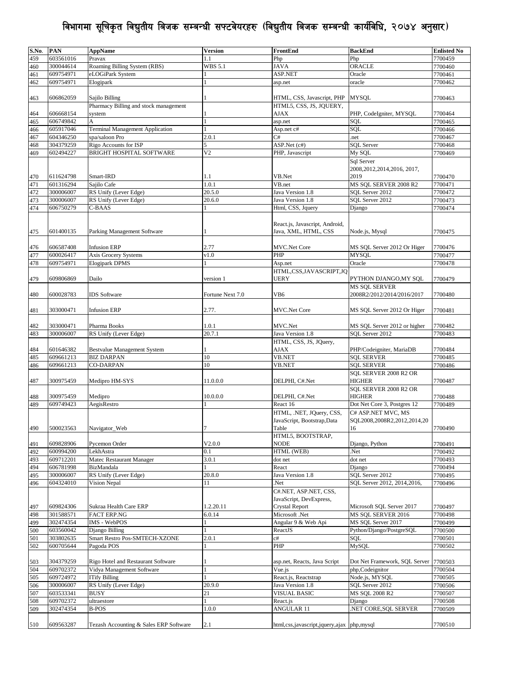| S.No. | <b>PAN</b> | <b>AppName</b>                         | <b>Version</b>   | FrontEnd                                  | <b>BackEnd</b>                        | <b>Enlisted No</b> |
|-------|------------|----------------------------------------|------------------|-------------------------------------------|---------------------------------------|--------------------|
| 459   | 603561016  | Pravax                                 | 1.1              | Php                                       | Php                                   | 7700459            |
|       | 300044614  |                                        |                  |                                           |                                       |                    |
| 460   |            | Roaming Billing System (RBS)           | WBS 5.1          | <b>JAVA</b>                               | ORACLE                                | 7700460            |
| 461   | 609754971  | eLOGiPark System                       |                  | ASP.NET                                   | Oracle                                | 7700461            |
| 462   | 609754971  | Elogipark                              |                  | asp.net                                   | oracle                                | 7700462            |
|       |            |                                        |                  |                                           |                                       |                    |
| 463   | 606862059  | Sajilo Billing                         |                  | HTML, CSS, Javascript, PHP                | <b>MYSQL</b>                          | 7700463            |
|       |            | Pharmacy Billing and stock management  |                  | HTML5, CSS, JS, JQUERY,                   |                                       |                    |
| 464   | 606668154  | system                                 |                  | AJAX                                      | PHP, CodeIgniter, MYSQL               | 7700464            |
| 465   | 606749842  | A                                      |                  | asp.net                                   | SOL                                   | 7700465            |
|       |            |                                        |                  |                                           |                                       |                    |
| 466   | 605917046  | <b>Terminal Management Application</b> |                  | Asp.net c#                                | SOL                                   | 7700466            |
| 467   | 604346250  | spa/saloon Pro                         | 2.0.1            | C#                                        | .net                                  | 7700467            |
| 468   | 304379259  | Rigo Accounts for ISP                  | 5                | ASP.Net (c#)                              | <b>SQL Server</b>                     | 7700468            |
| 469   | 602494227  | BRIGHT HOSPITAL SOFTWARE               | V <sub>2</sub>   | PHP, Javascript                           | My SQL                                | 7700469            |
|       |            |                                        |                  |                                           | Sql Server                            |                    |
|       |            |                                        |                  |                                           |                                       |                    |
|       |            |                                        |                  |                                           | 2008, 2012, 2014, 2016, 2017,         |                    |
| 470   | 611624798  | Smart-IRD                              | 1.1              | VB.Net                                    | 2019                                  | 7700470            |
| 471   | 601316294  | Sajilo Cafe                            | 1.0.1            | VB.net                                    | MS SQL SERVER 2008 R2                 | 7700471            |
| 472   | 300006007  | RS Unify (Lever Edge)                  | 20.5.0           | Java Version 1.8                          | SOL Server 2012                       | 7700472            |
| 473   | 300006007  | RS Unify (Lever Edge)                  | 20.6.0           | Java Version 1.8                          | SQL Server 2012                       | 7700473            |
| 474   | 606750279  | C-BAAS                                 |                  | Html, CSS, Jquery                         | Django                                | 7700474            |
|       |            |                                        |                  |                                           |                                       |                    |
|       |            |                                        |                  |                                           |                                       |                    |
|       |            |                                        |                  | React.js, Javascript, Android,            |                                       |                    |
| 475   | 601400135  | Parking Management Software            |                  | Java, XML, HTML, CSS                      | Node.js, Mysql                        | 7700475            |
|       |            |                                        |                  |                                           |                                       |                    |
| 476   | 606587408  | <b>Infusion ERP</b>                    | 2.77             | <b>MVC.Net Core</b>                       | MS SQL Server 2012 Or Higer           | 7700476            |
| 477   | 600026417  | Axis Grocery Systems                   | v1.0             | PHP                                       | <b>MYSQL</b>                          | 7700477            |
| 478   | 609754971  | <b>Elogipark DPMS</b>                  |                  |                                           | Oracle                                | 7700478            |
|       |            |                                        |                  | Asp.net                                   |                                       |                    |
|       |            |                                        |                  | HTML,CSS,JAVASCRIPT,JQ                    |                                       |                    |
| 479   | 609806869  | Dailo                                  | version 1        | <b>UERY</b>                               | PYTHON DJANGO,MY SQL                  | 7700479            |
|       |            |                                        |                  |                                           | MS SOL SERVER                         |                    |
| 480   | 600028783  | <b>IDS</b> Software                    | Fortune Next 7.0 | VB6                                       | 2008R2/2012/2014/2016/2017            | 7700480            |
|       |            |                                        |                  |                                           |                                       |                    |
|       |            |                                        |                  |                                           |                                       |                    |
| 481   | 303000471  | <b>Infusion ERP</b>                    | 2.77.            | <b>MVC.Net Core</b>                       | MS SQL Server 2012 Or Higer           | 7700481            |
|       |            |                                        |                  |                                           |                                       |                    |
| 482   | 303000471  | Pharma Books                           | 1.0.1            | MVC.Net                                   | MS SQL Server 2012 or higher          | 7700482            |
| 483   | 300006007  | RS Unify (Lever Edge)                  | 20.7.1           | Java Version 1.8                          | SOL Server 2012                       | 7700483            |
|       |            |                                        |                  | HTML, CSS, JS, JQuery,                    |                                       |                    |
| 484   | 601646382  | <b>Bestvalue Management System</b>     |                  | <b>AJAX</b>                               | PHP/Codeigniter, MariaDB              | 7700484            |
| 485   | 609661213  | <b>BIZ DARPAN</b>                      | 10               | <b>VB.NET</b>                             | <b>SQL SERVER</b>                     | 7700485            |
|       |            |                                        | 10               |                                           |                                       |                    |
| 486   | 609661213  | <b>CO-DARPAN</b>                       |                  | <b>VB.NET</b>                             | <b>SQL SERVER</b>                     | 7700486            |
|       |            |                                        |                  |                                           | SQL SERVER 2008 R2 OR                 |                    |
| 487   | 300975459  | Medipro HM-SYS                         | 11.0.0.0         | DELPHI, C#.Net                            | HIGHER                                | 7700487            |
|       |            |                                        |                  |                                           | SQL SERVER 2008 R2 OR                 |                    |
| 488   | 300975459  | Medipro                                | 10.0.0.0         | DELPHI, C#.Net                            | <b>HIGHER</b>                         | 7700488            |
| 489   | 609749423  | AegisRestro                            |                  | React 16                                  | Dot Net Core 3, Postgres 12           | 7700489            |
|       |            |                                        |                  |                                           |                                       |                    |
|       |            |                                        |                  | HTML, .NET, JQuery, CSS,                  | C# ASP.NET MVC, MS                    |                    |
|       |            |                                        |                  | JavaScript, Bootstrap, Data               | SQL2008,2008R2,2012,2014,20           |                    |
| 490   | 500023563  | Navigator Web                          |                  | Table                                     | 16                                    | 7700490            |
|       |            |                                        |                  | HTML5, BOOTSTRAP,                         |                                       |                    |
| 491   | 609828906  | Pycemon Order                          | V2.0.0           | <b>NODE</b>                               | Django, Python                        | 7700491            |
| 492   | 600994200  | LekhAstra                              | 0.1              | HTML (WEB)                                | Net.                                  | 7700492            |
| 493   | 609712201  | Matec Restaurant Manager               | 3.0.1            | dot net                                   | dot net                               | 7700493            |
|       |            |                                        |                  |                                           |                                       |                    |
| 494   | 606781998  | <b>BizMandala</b>                      |                  | React                                     | Django                                | 7700494            |
| 495   | 300006007  | RS Unify (Lever Edge)                  | 20.8.0           | Java Version 1.8                          | SQL Server 2012                       | 7700495            |
| 496   | 604324010  | Vision Nepal                           | 11               | Net.                                      | SOL Server 2012, 2014, 2016,          | 7700496            |
|       |            |                                        |                  | C#.NET, ASP.NET, CSS,                     |                                       |                    |
|       |            |                                        |                  | JavaScript, DevExpress,                   |                                       |                    |
| 497   | 609824306  | Sukraa Health Care ERP                 | 1.2.20.11        | <b>Crystal Report</b>                     | Microsoft SQL Server 2017             | 7700497            |
|       |            |                                        |                  |                                           |                                       |                    |
| 498   | 301588571  | FACT ERP.NG                            | 6.0.14           | Microsoft .Net                            | MS SQL SERVER 2016                    | 7700498            |
| 499   | 302474354  | IMS - WebPOS                           |                  | Angular 9 & Web Api                       | MS SQL Server 2017                    | 7700499            |
| 500   | 603560042  | Django Billing                         |                  | ReactJS                                   | Python/Django/PostgreSQL              | 7700500            |
| 501   | 303802635  | Smart Restro Pos-SMTECH-XZONE          | 2.0.1            | c#                                        | SQL                                   | 7700501            |
| 502   | 600705644  | Pagoda POS                             |                  | PHP                                       | MySQL                                 | 7700502            |
|       |            |                                        |                  |                                           |                                       |                    |
|       |            |                                        |                  |                                           |                                       |                    |
| 503   | 304379259  | Rigo Hotel and Restaurant Software     |                  | asp.net, Reacts, Java Script              | Dot Net Framework, SQL Server 7700503 |                    |
| 504   | 609702372  | Vidya Management Software              |                  | Vue.js                                    | php, Codeignitor                      | 7700504            |
| 505   | 609724972  | ITify Billing                          |                  | React.js, Reactstrap                      | Node.js, MYSQL                        | 7700505            |
| 506   | 300006007  | RS Unify (Lever Edge)                  | 20.9.0           | Java Version 1.8                          | SQL Server 2012                       | 7700506            |
| 507   | 603533341  | <b>BUSY</b>                            | 21               | <b>VISUAL BASIC</b>                       | <b>MS SQL 2008 R2</b>                 | 7700507            |
| 508   | 609702372  | ultraestore                            |                  | React.js                                  | Django                                | 7700508            |
|       |            |                                        |                  |                                           |                                       |                    |
| 509   | 302474354  | <b>B-POS</b>                           | 1.0.0            | <b>ANGULAR 11</b>                         | NET CORE,SQL SERVER                   | 7700509            |
|       |            |                                        |                  |                                           |                                       |                    |
| 510   | 609563287  | Tezash Accounting & Sales ERP Software | 2.1              | html,css,javascript,jquery,ajax php,mysql |                                       | 7700510            |
|       |            |                                        |                  |                                           |                                       |                    |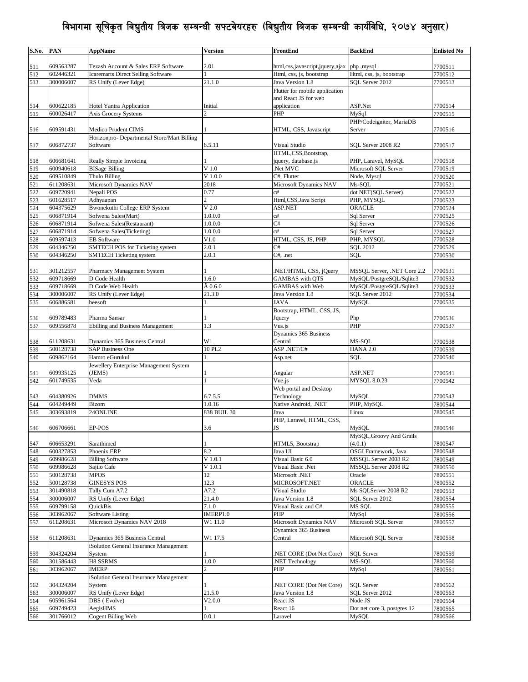| S.No. | PAN       | <b>AppName</b>                              | <b>Version</b>   | FrontEnd                                  | <b>BackEnd</b>              | <b>Enlisted No</b> |
|-------|-----------|---------------------------------------------|------------------|-------------------------------------------|-----------------------------|--------------------|
|       |           |                                             |                  |                                           |                             |                    |
| 511   | 609563287 | Tezash Account & Sales ERP Software         | 2.01             | html,css,javascript,jquery,ajax php,mysql |                             | 7700511            |
| 512   | 602446321 | Icaremarts Direct Selling Software          |                  | Html, css, js, bootstrap                  | Html, css, js, bootstrap    | 7700512            |
| 513   | 300006007 | RS Unify (Lever Edge)                       | 21.1.0           | Java Version 1.8                          | SQL Server 2012             | 7700513            |
|       |           |                                             |                  | Flutter for mobile application            |                             |                    |
|       |           |                                             |                  | and React JS for web                      |                             |                    |
|       | 600622185 |                                             | Initial          |                                           | ASP.Net                     |                    |
| 514   | 600026417 | Hotel Yantra Application                    | $\mathfrak{D}$   | application                               | MySql                       | 7700514            |
| 515   |           | <b>Axis Grocery Systems</b>                 |                  | PHP                                       |                             | 7700515            |
|       |           |                                             |                  |                                           | PHP/Codeigniter, MariaDB    |                    |
| 516   | 609591431 | Medico Prudent CIMS                         |                  | HTML, CSS, Javascript                     | Server                      | 7700516            |
|       |           | Horizonpro- Departmental Store/Mart Billing |                  |                                           |                             |                    |
| 517   | 606872737 | Software                                    | 8.5.11           | Visual Studio                             | SQL Server 2008 R2          | 7700517            |
|       |           |                                             |                  | HTML,CSS,Bootstrap,                       |                             |                    |
| 518   | 606681641 | Really Simple Invoicing                     |                  | jquery, database.js                       | PHP, Laravel, MySQL         | 7700518            |
| 519   | 600940618 | <b>BISage Billing</b>                       | V <sub>1.0</sub> | .Net MVC                                  | Microsoft SQL Server        | 7700519            |
| 520   | 609510849 | Thulo Billing                               | $V$ 1.0.0        | C#, Flutter                               | Node, Mysql                 | 7700520            |
| 521   | 611208631 | Microsoft Dynamics NAV                      | 2018             | Microsoft Dynamics NAV                    | Ms-SQL                      | 7700521            |
| 522   | 609720941 | Nepali POS                                  | 0.77             | c#                                        | dot NET(SQL Server)         | 7700522            |
| 523   | 601628517 | Adhyaapan                                   | $\overline{c}$   | Html,CSS, Java Script                     | PHP, MYSQL                  | 7700523            |
|       | 604375629 | <b>Bwonekuthi College ERP System</b>        | $V$ 2.0          | ASP.NET                                   | ORACLE                      | 7700524            |
| 524   |           |                                             |                  |                                           |                             |                    |
| 525   | 606871914 | Sofwena Sales(Mart)                         | 1.0.0.0          | c#                                        | Sql Server                  | 7700525            |
| 526   | 606871914 | Sofwena Sales(Restaurant)                   | 1.0.0.0          | C#                                        | Sql Server                  | 7700526            |
| 527   | 606871914 | Sofwena Sales(Ticketing)                    | 1.0.0.0          | c#                                        | Sql Server                  | 7700527            |
| 528   | 609597413 | <b>EB</b> Software                          | V1.0             | HTML, CSS, JS, PHP                        | PHP, MYSQL                  | 7700528            |
| 529   | 604346250 | SMTECH POS for Ticketing system             | 2.0.1            | C#                                        | SQL 2012                    | 7700529            |
| 530   | 604346250 | <b>SMTECH Ticketing system</b>              | 2.0.1            | C#, .net                                  | <b>SOL</b>                  | 7700530            |
|       |           |                                             |                  |                                           |                             |                    |
| 531   | 301212557 | Pharmacy Management System                  |                  | .NET/HTML, CSS, jQuery                    | MSSQL Server, .NET Core 2.2 | 7700531            |
| 532   | 609718669 | D Code Health                               | 1.6.0            | GAMBAS with QT5                           | MySQL/PostgreSQL/Sqlite3    | 7700532            |
| 533   | 609718669 | D Code Web Health                           | $\hat{A}$ 0.6.0  | <b>GAMBAS</b> with Web                    | MySQL/PostgreSQL/Sqlite3    | 7700533            |
| 534   | 300006007 | RS Unify (Lever Edge)                       | 21.3.0           | Java Version 1.8                          | SQL Server 2012             | 7700534            |
|       |           |                                             |                  | <b>JAVA</b>                               |                             |                    |
| 535   | 606886581 | beesoft                                     |                  |                                           | <b>MySQL</b>                | 7700535            |
|       |           |                                             |                  | Bootstrap, HTML, CSS, JS,                 |                             |                    |
| 536   | 609789483 | Pharma Sansar                               |                  | Jquery                                    | Php                         | 7700536            |
| 537   | 609556878 | <b>Ebilling and Business Management</b>     | 1.3              | Vus.js                                    | PHP                         | 7700537            |
|       |           |                                             |                  | Dynamics 365 Business                     |                             |                    |
| 538   | 611208631 | Dynamics 365 Business Central               | W1               | Central                                   | MS-SQL                      | 7700538            |
| 539   | 500128738 | <b>SAP Business One</b>                     | 10 PL2           | ASP.NET/C#                                | <b>HANA 2.0</b>             | 7700539            |
| 540   | 609862164 | Hamro eGurukul                              |                  | Asp.net                                   | SQL                         | 7700540            |
|       |           | Jewellery Enterprise Management System      |                  |                                           |                             |                    |
| 541   | 609935125 | (JEMS)                                      |                  | Angular                                   | ASP.NET                     | 7700541            |
| 542   | 601749535 | Veda                                        |                  | Vue.js                                    | <b>MYSQL 8.0.23</b>         | 7700542            |
|       |           |                                             |                  | Web portal and Desktop                    |                             |                    |
|       |           |                                             |                  |                                           |                             |                    |
| 543   | 604380926 | <b>DMMS</b>                                 | 6.7.5.5          | Technology                                | MySQL                       | 7700543            |
| 544   | 604249449 | Bizom                                       | 1.0.16           | Native Android, .NET                      | PHP, MySQL                  | 7800544            |
| 545   | 303693819 | 24ONLINE                                    | 838 BUIL 30      | Java                                      | Linux                       | 7800545            |
|       |           |                                             |                  | PHP, Laravel, HTML, CSS,                  |                             |                    |
| 546   | 606706661 | EP-POS                                      | 3.6              | JS                                        | <b>MySQL</b>                | 7800546            |
|       |           |                                             |                  |                                           | MySQL, Groovy And Grails    |                    |
| 547   | 606653291 | Sarathimed                                  |                  | HTML5, Bootstrap                          | (4.0.1)                     | 7800547            |
| 548   | 600327853 | Phoenix ERP                                 | 8.2              | Java UI                                   | <b>OSGI</b> Framework, Java | 7800548            |
| 549   | 609986628 | <b>Billing Software</b>                     | V 1.0.1          | Visual Basic 6.0                          | MSSQL Server 2008 R2        | 7800549            |
| 550   | 609986628 | Sajilo Cafe                                 | $V$ 1.0.1        | Visual Basic .Net                         | MSSOL Server 2008 R2        | 7800550            |
| 551   | 500128738 | MPOS                                        | 12               | Microsoft .NET                            | Oracle                      | 7800551            |
| 552   | 500128738 | <b>GINESYS POS</b>                          | 12.3             | MICROSOFT.NET                             | <b>ORACLE</b>               | 7800552            |
|       | 301490818 | Tally Cum A7.2                              | A7.2             | Visual Studio                             | Ms SOLServer 2008 R2        |                    |
| 553   |           |                                             |                  |                                           |                             | 7800553            |
| 554   | 300006007 | RS Unify (Lever Edge)                       | 21.4.0           | Java Version 1.8                          | SQL Server 2012             | 7800554            |
| 555   | 609799158 | <b>OuickBis</b>                             | 7.1.0            | Visual Basic and C#                       | MS SQL                      | 7800555            |
| 556   | 303962067 | <b>Software Listing</b>                     | IMERP1.0         | PHP                                       | MySql                       | 7800556            |
| 557   | 611208631 | Microsoft Dynamics NAV 2018                 | W1 11.0          | <b>Microsoft Dynamics NAV</b>             | Microsoft SOL Server        | 7800557            |
|       |           |                                             |                  | Dynamics 365 Business                     |                             |                    |
| 558   | 611208631 | Dynamics 365 Business Central               | W1 17.5          | Central                                   | Microsoft SQL Server        | 7800558            |
|       |           | iSolution General Insurance Management      |                  |                                           |                             |                    |
| 559   | 304324204 | System                                      |                  | .NET CORE (Dot Net Core)                  | <b>SQL</b> Server           | 7800559            |
| 560   | 301586443 | H8 SSRMS                                    | 1.0.0            | .NET Technology                           | MS-SQL                      | 7800560            |
| 561   | 303962067 | <b>IMERP</b>                                | $\overline{c}$   | PHP                                       | MySql                       | 7800561            |
|       |           |                                             |                  |                                           |                             |                    |
|       |           | Solution General Insurance Management       |                  |                                           |                             |                    |
| 562   | 304324204 | System                                      |                  | .NET CORE (Dot Net Core)                  | <b>SQL Server</b>           | 7800562            |
| 563   | 300006007 | RS Unify (Lever Edge)                       | 21.5.0           | Java Version 1.8                          | SQL Server 2012             | 7800563            |
| 564   | 605961564 | DBS (Evolve)                                | V2.0.0           | React JS                                  | Node JS                     | 7800564            |
| 565   | 609749423 | AegisHMS                                    |                  | React 16                                  | Dot net core 3, postgres 12 | 7800565            |
| 566   | 301766012 | <b>Cogent Billing Web</b>                   | 0.0.1            | Laravel                                   | MySQL                       | 7800566            |
|       |           |                                             |                  |                                           |                             |                    |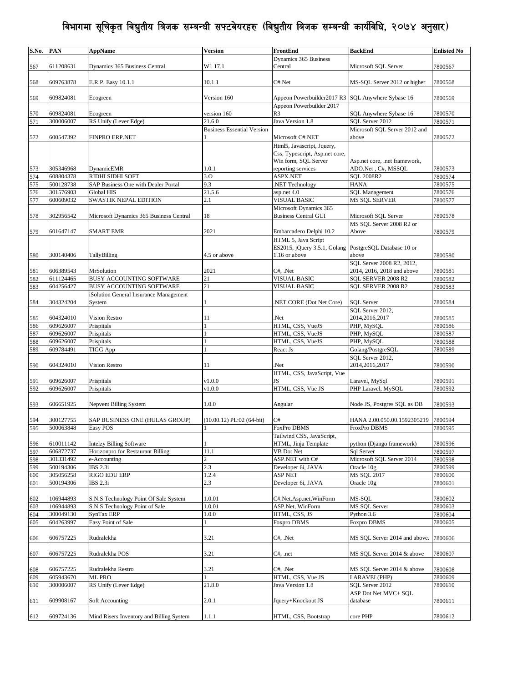| S.No.      | PAN                    | AppName                                    | <b>Version</b>                    | FrontEnd                                                     | <b>BackEnd</b>                                     | <b>Enlisted No</b> |
|------------|------------------------|--------------------------------------------|-----------------------------------|--------------------------------------------------------------|----------------------------------------------------|--------------------|
| 567        | 611208631              | Dynamics 365 Business Central              | W1 17.1                           | Dynamics 365 Business<br>Central                             | Microsoft SQL Server                               | 7800567            |
| 568        | 609763878              | E.R.P. Easy 10.1.1                         | 10.1.1                            | C#.Net                                                       | MS-SQL Server 2012 or higher                       | 7800568            |
| 569        | 609824081              | Ecogreen                                   | Version 160                       | Appeon Powerbuilder2017 R3                                   | SQL Anywhere Sybase 16                             | 7800569            |
| 570        | 609824081              | Ecogreen                                   | version 160                       | Appeon Powerbuilder 2017<br>R <sub>3</sub>                   | SQL Anywhere Sybase 16                             | 7800570            |
| 571        | 300006007              | RS Unify (Lever Edge)                      | 21.6.0                            | Java Version 1.8                                             | SOL Server 2012                                    | 7800571            |
| 572        | 600547392              | FINPRO ERP.NET                             | <b>Business Essential Version</b> | Microsoft C#.NET                                             | Microsoft SQL Server 2012 and<br>above             | 7800572            |
|            |                        |                                            |                                   | Html5, Javascript, Jquery,<br>Css, Typescript, Asp.net core, |                                                    |                    |
|            |                        |                                            |                                   | Win form, SQL Server                                         | Asp.net core, .net framework,                      |                    |
| 573        | 305346968              | <b>DynamicEMR</b>                          | 1.0.1                             | reporting services                                           | ADO.Net, C#, MSSQL                                 | 7800573            |
| 574        | 608804378              | RIDHI SIDHI SOFT                           | 3.0                               | ASPX.NET                                                     | <b>SQL 2008R2</b>                                  | 7800574            |
| 575        | 500128738              | SAP Business One with Dealer Portal        | 9.3                               | .NET Technology                                              | <b>HANA</b>                                        | 7800575            |
| 576        | 301576903              | Global HIS                                 | 21.5.6                            | $\overline{asp.net}$ 4.0                                     | <b>SQL Management</b>                              | 7800576            |
| 577        | 600609032              | SWASTIK NEPAL EDITION                      | 2.1                               | <b>VISUAL BASIC</b>                                          | <b>MS SQL SERVER</b>                               | 7800577            |
|            |                        |                                            |                                   | Microsoft Dynamics 365                                       |                                                    |                    |
| 578        | 302956542              | Microsoft Dynamics 365 Business Central    | 18                                | <b>Business Central GUI</b>                                  | Microsoft SQL Server<br>MS SQL Server 2008 R2 or   | 7800578            |
| 579        | 601647147              | <b>SMART EMR</b>                           | 2021                              | Embarcadero Delphi 10.2                                      | Above                                              | 7800579            |
|            |                        |                                            |                                   | HTML 5, Java Script                                          |                                                    |                    |
| 580        | 300140406              | TallyBilling                               | 4.5 or above                      | ES2015, jQuery 3.5.1, Golang<br>1.16 or above                | PostgreSQL Database 10 or<br>above                 | 7800580            |
|            |                        |                                            |                                   |                                                              | SQL Server 2008 R2, 2012,                          |                    |
| 581        | 606389543              | <b>MrSolution</b>                          | 2021                              | C#, .Net                                                     | 2014, 2016, 2018 and above                         | 7800581            |
| 582        | 611124465              | <b>BUSY ACCOUNTING SOFTWARE</b>            | 21                                | <b>VISUAL BASIC</b>                                          | SQL SERVER 2008 R2                                 | 7800582            |
| 583        | 604256427              | BUSY ACCOUNTING SOFTWARE                   | 21                                | <b>VISUAL BASIC</b>                                          | SQL SERVER 2008 R2                                 | 7800583            |
|            |                        | iSolution General Insurance Management     |                                   |                                                              |                                                    |                    |
| 584        | 304324204              | System                                     |                                   | NET CORE (Dot Net Core)                                      | <b>SQL</b> Server                                  | 7800584            |
| 585        | 604324010              | <b>Vision Restro</b>                       | 11                                | Net.                                                         | SOL Server 2012,<br>2014,2016,2017                 | 7800585            |
| 586        | 609626007              | Prispitals                                 |                                   | HTML, CSS, VueJS                                             | PHP, MySQL                                         | 7800586            |
| 587        | 609626007              | Prispitals                                 |                                   | HTML, CSS, VueJS                                             | PHP, MySQL                                         | 7800587            |
| 588        | 609626007              | Prispitals                                 |                                   | HTML, CSS, VueJS                                             | PHP, MySQL                                         | 7800588            |
| 589        | 609784491              | <b>TIGG App</b>                            |                                   | React Js                                                     | Golang/PostgreSQL                                  | 7800589            |
|            |                        |                                            |                                   |                                                              | SQL Server 2012,                                   |                    |
| 590        | 604324010              | Vision Restro                              | 11                                | .Net                                                         | 2014, 2016, 2017                                   | 7800590            |
| 591        | 609626007              | Prispitals                                 | v1.0.0                            | HTML, CSS, JavaScript, Vue<br>JS                             | Laravel, MySql                                     | 7800591            |
| 592        | 609626007              | Prispitals                                 | v1.0.0                            | HTML, CSS, Vue JS                                            | PHP Laravel, MySQL                                 | 7800592            |
| 593        | 606651925              | Nepvent Billing System                     | 1.0.0                             | Angular                                                      | Node JS, Postgres SQL as DB                        | 7800593            |
|            |                        |                                            |                                   |                                                              |                                                    |                    |
| 594<br>595 | 300127755<br>500063848 | SAP BUSINESS ONE (HULAS GROUP)<br>Easy POS | $(10.00.12)$ PL:02 $(64-bit)$     | C#<br>FoxPro DBMS                                            | HANA 2.00.050.00.1592305219<br><b>FroxPro DBMS</b> | 7800594<br>7800595 |
|            |                        |                                            |                                   | Tailwind CSS, JavaScript,                                    |                                                    |                    |
| 596        | 610011142              | <b>Intelzy Billing Software</b>            |                                   | HTML, Jinja Template                                         | python (Django framework)                          | 7800596            |
| 597        | 606872737              | Horizonpro for Restaurant Billing          | 11.1                              | $\overline{VB}$ Dot Net                                      | Sql Server                                         | 7800597            |
| 598        | 301331492              | e-Accounting                               | $\overline{c}$                    | ASP.NET with C#                                              | Microsoft SQL Server 2014                          | 7800598            |
| 599        | 500194306              | <b>IBS</b> 2.3i                            | 2.3                               | Developer 6i, JAVA                                           | Oracle 10g                                         | 7800599            |
| 600        | 305056258              | <b>RIGO EDU ERP</b>                        | 1.2.4                             | <b>ASP NET</b>                                               | MS SQL 2017                                        | 7800600            |
| 601        | 500194306              | IBS 2.3i                                   | 2.3                               | Developer 6i, JAVA                                           | Oracle 10g                                         | 7800601            |
| 602        | 106944893              | S.N.S Technology Point Of Sale System      | 1.0.01                            | C#.Net, Asp.net, WinForm                                     | MS-SQL                                             | 7800602            |
| 603        | 106944893              | S.N.S Technology Point of Sale             | 1.0.01                            | ASP.Net, WinForm                                             | <b>MS SOL Server</b>                               | 7800603            |
| 604        | 300049130              | SynTax ERP                                 | 1.0.0                             | HTML, CSS, JS                                                | Python 3.6                                         | 7800604            |
| 605        | 604263997              | Easy Point of Sale                         |                                   | Foxpro DBMS                                                  | Foxpro DBMS                                        | 7800605            |
|            |                        |                                            |                                   |                                                              |                                                    |                    |
| 606        | 606757225              | Rudralekha                                 | 3.21                              | C#, .Net                                                     | MS SQL Server 2014 and above.                      | 7800606            |
| 607        | 606757225              | Rudralekha POS                             | 3.21                              | $C#, \text{ }$ .net                                          | MS SQL Server 2014 & above                         | 7800607            |
| 608        | 606757225              | Rudralekha Restro                          | 3.21                              | C#, .Net                                                     | MS SQL Server 2014 & above                         | 7800608            |
| 609        | 605943670              | ML PRO                                     |                                   | HTML, CSS, Vue JS                                            | LARAVEL(PHP)                                       | 7800609            |
| 610        | 300006007              | RS Unify (Lever Edge)                      | 21.8.0                            | Java Version 1.8                                             | SQL Server 2012                                    | 7800610            |
| 611        | 609908167              | Soft Accounting                            | 2.0.1                             | Jquery+Knockout JS                                           | ASP Dot Net MVC+ SQL<br>database                   | 7800611            |
|            |                        |                                            |                                   |                                                              |                                                    |                    |
| 612        | 609724136              | Mind Risers Inventory and Billing System   | 1.1.1                             | HTML, CSS, Bootstrap                                         | core PHP                                           | 7800612            |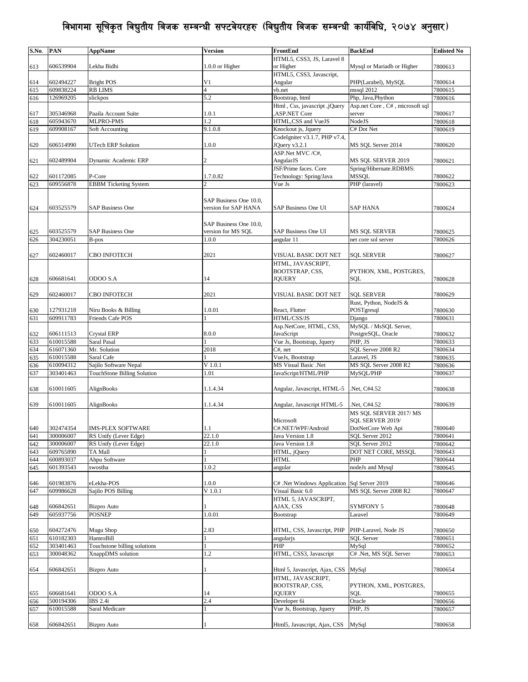| S.No. | <b>PAN</b> | AppName                      | Version                | FrontEnd                      | <b>BackEnd</b>                  | <b>Enlisted No</b> |
|-------|------------|------------------------------|------------------------|-------------------------------|---------------------------------|--------------------|
|       |            |                              |                        | HTML5, CSS3, JS, Laravel 8    |                                 |                    |
| 613   | 606539904  | Lekha Bidhi                  | 1.0.0 or Higher        | or Higher                     | Mysql or Mariadb or Higher      | 7800613            |
|       |            |                              |                        | HTML5, CSS3, Javascript,      |                                 |                    |
| 614   | 602494227  | <b>Bright POS</b>            | V <sub>1</sub>         | Angular                       | PHP(Larabel), MySQL             | 7800614            |
| 615   | 609838224  | <b>RB LIMS</b>               | $\overline{4}$         | vb.net                        | mssql 2012                      | 7800615            |
| 616   | 126969205  | slickpos                     | 5.2                    | Bootstrap, html               | Php, Java, Phython              | 7800616            |
|       |            |                              |                        | Html, Css, javascript, jQuery | Asp.net Core, C#, microsoft sql |                    |
| 617   | 305346968  | Paaila Account Suite         | 1.0.1                  | ASP.NET Core                  | server                          | 7800617            |
| 618   | 605943670  | MLPRO-PMS                    | 1.2                    | HTML,CSS and VueJS            | NodeJS                          | 7800618            |
| 619   | 609908167  | Soft Accounting              | 9.1.0.8                | Knockout js, Jquery           | C# Dot Net                      | 7800619            |
|       |            |                              |                        | CodeIgniter v3.1.7, PHP v7.4, |                                 |                    |
|       |            |                              |                        |                               | MS SOL Server 2014              |                    |
| 620   | 606514990  | UTech ERP Solution           | 1.0.0                  | JQuery v3.2.1                 |                                 | 7800620            |
|       |            |                              |                        | ASP.Net MVC /C#,              |                                 |                    |
| 621   | 602489904  | Dynamic Academic ERP         | 2                      | AngularJS                     | MS SQL SERVER 2019              | 7800621            |
|       |            |                              |                        | JSF/Prime faces. Core         | Spring/Hibernate.RDBMS:         |                    |
| 622   | 601172085  | P-Core                       | 1.7.0.82               | Technology: Spring/Java       | MSSQL                           | 7800622            |
| 623   | 609556878  | <b>EBBM</b> Ticketing System |                        | Vue Js                        | PHP (laravel)                   | 7800623            |
|       |            |                              |                        |                               |                                 |                    |
|       |            |                              | SAP Business One 10.0, |                               |                                 |                    |
| 624   | 603525579  | <b>SAP Business One</b>      | version for SAP HANA   | SAP Business One UI           | <b>SAP HANA</b>                 | 7800624            |
|       |            |                              |                        |                               |                                 |                    |
|       |            |                              | SAP Business One 10.0, |                               |                                 |                    |
| 625   | 603525579  | <b>SAP Business One</b>      | version for MS SQL     | SAP Business One UI           | MS SQL SERVER                   | 7800625            |
| 626   | 304230051  | B-pos                        | 1.0.0                  | angular 11                    | net core sol server             | 7800626            |
|       |            |                              |                        |                               |                                 |                    |
| 627   | 602460017  | <b>CBO INFOTECH</b>          | 2021                   | VISUAL BASIC DOT NET          | <b>SQL SERVER</b>               | 7800627            |
|       |            |                              |                        |                               |                                 |                    |
|       |            |                              |                        | HTML, JAVASCRIPT,             |                                 |                    |
|       |            |                              |                        | BOOTSTRAP, CSS,               | PYTHON, XML, POSTGRES,          |                    |
| 628   | 606681641  | ODOO S.A                     | 14                     | <b>JQUERY</b>                 | SQL                             | 7800628            |
|       |            |                              |                        |                               |                                 |                    |
| 629   | 602460017  | CBO INFOTECH                 | 2021                   | VISUAL BASIC DOT NET          | SQL SERVER                      | 7800629            |
|       |            |                              |                        |                               | Rust, Python, NodeJS &          |                    |
| 630   | 127931218  | Niru Books & Billing         | 1.0.01                 | React, Flutter                | POSTgresql                      | 7800630            |
| 631   | 609911783  | Friends Cafe POS             |                        | HTML/CSS/JS                   | Django                          | 7800631            |
|       |            |                              |                        | Asp.NetCore, HTML, CSS,       | MySQL / MsSQL Server,           |                    |
| 632   | 606111513  | Crystal ERP                  | 8.0.0                  | JavaScript                    | PostgreSQL, Oracle              | 7800632            |
| 633   | 610015588  | Saral Pasal                  |                        | Vue Js, Bootstrap, Jquery     | PHP, JS                         | 7800633            |
| 634   | 616071360  | Mr. Solution                 | 2018                   | $C#$ , net                    | SQL Server 2008 R2              | 7800634            |
| 635   | 610015588  | Saral Cafe                   |                        | VueJs, Bootstrap              | Laravel, JS                     | 7800635            |
| 636   | 610094312  | Sajilo Software Nepal        | $V$ 1.0.1              | MS Visual Basic .Net          | MS SQL Server 2008 R2           | 7800636            |
| 637   | 303401463  | TouchStone Billing Solution  | 1.01                   | JavaScript/HTML/PHP           | MySQL/PHP                       | 7800637            |
|       |            |                              |                        |                               |                                 |                    |
|       |            | AlignBooks                   | 1.1.4.34               |                               |                                 |                    |
| 638   | 610011605  |                              |                        | Angular, Javascript, HTML-5   | Net, C#4.52                     | 7800638            |
|       |            |                              |                        |                               |                                 |                    |
| 639   | 610011605  | AlignBooks                   | 1.1.4.34               | Angular, Javascript HTML-5    | Net, C#4.52.                    | 7800639            |
|       |            |                              |                        |                               | MS SQL SERVER 2017/MS           |                    |
|       |            |                              |                        | Microsoft                     | SQL SERVER 2019/                |                    |
| 640   | 302474354  | <b>IMS-PLEX SOFTWARE</b>     | 1.1                    | C#.NET/WPF/Android            | DotNetCore Web Api              | 7800640            |
| 641   | 300006007  | RS Unify (Lever Edge)        | 22.1.0                 | Java Version 1.8              | SOL Server 2012                 | 7800641            |
| 642   | 300006007  | RS Unify (Lever Edge)        | 22.1.0                 | Java Version 1.8              | SQL Server 2012                 | 7800642            |
| 643   | 609765890  | TA Mall                      |                        | HTML, jQuery                  | DOT NET CORE, MSSOL             | 7800643            |
| 644   | 600893037  | Ahpu Software                |                        | HTML                          | PHP                             | 7800644            |
| 645   | 601393543  | swostha                      | 1.0.2                  | angular                       | nodeJs and Mysql                | 7800645            |
|       |            |                              |                        |                               |                                 |                    |
| 646   | 601983876  | eLekha-POS                   | 1.0.0                  | C# .Net Windows Application   | Sql Server 2019                 | 7800646            |
|       | 609986628  | Sajilo POS Billing           | V 1.0.1                | Visual Basic 6.0              | MS SQL Server 2008 R2           |                    |
| 647   |            |                              |                        |                               |                                 | 7800647            |
|       |            |                              |                        | HTML 5, JAVASCRIPT,           |                                 |                    |
| 648   | 606842651  | <b>Bizpro Auto</b>           |                        | AJAX, CSS                     | <b>SYMFONY 5</b>                | 7800648            |
| 649   | 605937756  | <b>POSNEP</b>                | 1.0.01                 | Bootstrap                     | Laravel                         | 7800649            |
|       |            |                              |                        |                               |                                 |                    |
| 650   | 604272476  | Mugu Shop                    | 2.83                   | HTML, CSS, Javascript, PHP    | PHP-Laravel, Node JS            | 7800650            |
| 651   | 610182303  | HamroBill                    |                        | angularis                     | <b>SQL Server</b>               | 7800651            |
| 652   | 303401463  | Touchstone billing solutions |                        | PHP                           | MySql                           | 7800652            |
| 653   | 300048362  | XnappDMS solution            | 1.2                    | HTML, CSS3, Javascript        | C# .Net, MS SQL Server          | 7800653            |
|       |            |                              |                        |                               |                                 |                    |
| 654   | 606842651  | <b>Bizpro Auto</b>           |                        | Html 5, Javascript, Ajax, CSS | MySql                           | 7800654            |
|       |            |                              |                        | HTML, JAVASCRIPT,             |                                 |                    |
|       |            |                              |                        | BOOTSTRAP, CSS,               | PYTHON, XML, POSTGRES,          |                    |
|       |            |                              |                        |                               |                                 |                    |
| 655   | 606681641  | ODOO S.A                     | 14                     | <b>JQUERY</b>                 | SOL                             | 7800655            |
| 656   | 500194306  | <b>IBS</b> 2.4i              | 2.4                    | Developer 6i                  | Oracle                          | 7800656            |
| 657   | 610015588  | Saral Medicare               |                        | Vue Js, Bootstrap, Jquery     | PHP, JS                         | 7800657            |
|       |            |                              |                        |                               |                                 |                    |
| 658   | 606842651  | <b>Bizpro Auto</b>           |                        | Html5, Javascript, Ajax, CSS  | MySql                           | 7800658            |